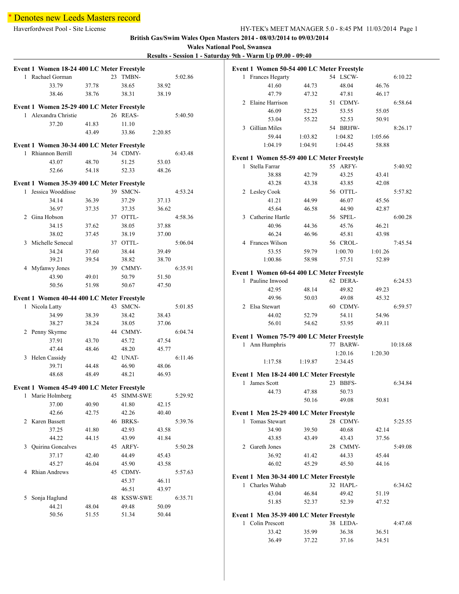# \* Denotes new Leeds Masters record

**British Gas/Swim Wales Open Masters 2014 - 08/03/2014 to 09/03/2014**

**Wales National Pool, Swansea**

**Results - Session 1 - Saturday 9th - Warm Up 09.00 - 09:40**

| Event 1 Women 18-24 400 LC Meter Freestyle |       |             |         |         | Event 1 Women 50-54 400 LC Meter Freestyle                     |         |          |         |          |
|--------------------------------------------|-------|-------------|---------|---------|----------------------------------------------------------------|---------|----------|---------|----------|
| 1 Rachael Gorman                           |       | 23 TMBN-    |         | 5:02.86 | 1 Frances Hegarty                                              |         | 54 LSCW- |         | 6:10.22  |
| 33.79                                      | 37.78 | 38.65       | 38.92   |         | 41.60                                                          | 44.73   | 48.04    | 46.76   |          |
| 38.46                                      | 38.76 | 38.31       | 38.19   |         | 47.79                                                          | 47.32   | 47.81    | 46.17   |          |
|                                            |       |             |         |         | 2 Elaine Harrison                                              |         | 51 CDMY- |         | 6:58.64  |
| Event 1 Women 25-29 400 LC Meter Freestyle |       |             |         |         | 46.09                                                          | 52.25   | 53.55    | 55.05   |          |
| 1 Alexandra Christie                       |       | 26 REAS-    |         | 5:40.50 | 53.04                                                          | 55.22   | 52.53    | 50.91   |          |
| 37.20                                      | 41.83 | 11.10       |         |         | 3 Gillian Miles                                                |         | 54 BRHW- |         | 8:26.17  |
|                                            | 43.49 | 33.86       | 2:20.85 |         | 59.44                                                          | 1:03.82 | 1:04.82  | 1:05.66 |          |
| Event 1 Women 30-34 400 LC Meter Freestyle |       |             |         |         | 1:04.19                                                        | 1:04.91 | 1:04.45  | 58.88   |          |
| 1 Rhiannon Berrill                         |       | 34 CDMY-    |         | 6:43.48 |                                                                |         |          |         |          |
| 43.07                                      | 48.70 | 51.25       | 53.03   |         | Event 1 Women 55-59 400 LC Meter Freestyle                     |         |          |         |          |
| 52.66                                      | 54.18 | 52.33       | 48.26   |         | 1 Stella Farrar                                                |         | 55 ARFY- |         | 5:40.92  |
|                                            |       |             |         |         | 38.88                                                          | 42.79   | 43.25    | 43.41   |          |
| Event 1 Women 35-39 400 LC Meter Freestyle |       |             |         |         | 43.28                                                          | 43.38   | 43.85    | 42.08   |          |
| 1 Jessica Wooddisse                        |       | 39 SMCN-    |         | 4:53.24 | 2 Lesley Cook                                                  |         | 56 OTTL- |         | 5:57.82  |
| 34.14                                      | 36.39 | 37.29       | 37.13   |         | 41.21                                                          | 44.99   | 46.07    | 45.56   |          |
| 36.97                                      | 37.35 | 37.35       | 36.62   |         | 45.64                                                          | 46.58   | 44.90    | 42.87   |          |
| 2 Gina Hobson                              |       | 37 OTTL-    |         | 4:58.36 | 3 Catherine Hartle                                             |         | 56 SPEL- |         | 6:00.28  |
| 34.15                                      | 37.62 | 38.05       | 37.88   |         | 40.96                                                          | 44.36   | 45.76    | 46.21   |          |
| 38.02                                      | 37.45 | 38.19       | 37.00   |         | 46.24                                                          | 46.96   | 45.81    | 43.98   |          |
| 3 Michelle Senecal                         |       | 37 OTTL-    |         | 5:06.04 | 4 Frances Wilson                                               |         | 56 CROL- |         | 7:45.54  |
| 34.24                                      | 37.60 | 38.44       | 39.49   |         | 53.55                                                          | 59.79   | 1:00.70  | 1:01.26 |          |
| 39.21                                      | 39.54 | 38.82       | 38.70   |         | 1:00.86                                                        | 58.98   | 57.51    | 52.89   |          |
| 4 Myfanwy Jones                            |       | 39 CMMY-    |         | 6:35.91 |                                                                |         |          |         |          |
| 43.90                                      | 49.01 | 50.79       | 51.50   |         | Event 1 Women 60-64 400 LC Meter Freestyle<br>1 Pauline Inwood |         | 62 DERA- |         |          |
| 50.56                                      | 51.98 | 50.67       | 47.50   |         |                                                                |         |          |         | 6:24.53  |
|                                            |       |             |         |         | 42.95                                                          | 48.14   | 49.82    | 49.23   |          |
| Event 1 Women 40-44 400 LC Meter Freestyle |       |             |         |         | 49.96                                                          | 50.03   | 49.08    | 45.32   |          |
| 1 Nicola Latty                             |       | 43 SMCN-    |         | 5:01.85 | 2 Elsa Stewart                                                 |         | 60 CDMY- |         | 6:59.57  |
| 34.99                                      | 38.39 | 38.42       | 38.43   |         | 44.02                                                          | 52.79   | 54.11    | 54.96   |          |
| 38.27                                      | 38.24 | 38.05       | 37.06   |         | 56.01                                                          | 54.62   | 53.95    | 49.11   |          |
| 2 Penny Skyrme                             |       | 44 CMMY-    |         | 6:04.74 | Event 1 Women 75-79 400 LC Meter Freestyle                     |         |          |         |          |
| 37.91                                      | 43.70 | 45.72       | 47.54   |         | 1 Ann Humphris                                                 |         | 77 BARW- |         | 10:18.68 |
| 47.44                                      | 48.46 | 48.20       | 45.77   |         |                                                                |         | 1:20.16  | 1:20.30 |          |
| 3 Helen Cassidy                            |       | 42 UNAT-    |         | 6:11.46 | 1:17.58                                                        | 1:19.87 | 2:34.45  |         |          |
| 39.71                                      | 44.48 | 46.90       | 48.06   |         |                                                                |         |          |         |          |
| 48.68                                      | 48.49 | 48.21       | 46.93   |         | Event 1 Men 18-24 400 LC Meter Freestyle                       |         |          |         |          |
| Event 1 Women 45-49 400 LC Meter Freestyle |       |             |         |         | 1 James Scott                                                  |         | 23 BBFS- |         | 6:34.84  |
| 1 Marie Holmberg                           |       | 45 SIMM-SWE |         | 5:29.92 | 44.73                                                          | 47.88   | 50.73    |         |          |
| 37.00                                      | 40.90 | 41.80       | 42.15   |         |                                                                | 50.16   | 49.08    | 50.81   |          |
| 42.66                                      | 42.75 | 42.26       | 40.40   |         | Event 1 Men 25-29 400 LC Meter Freestyle                       |         |          |         |          |
| 2 Karen Bassett                            |       | 46 BRKS-    |         | 5:39.76 | 1 Tomas Stewart                                                |         | 28 CDMY- |         | 5:25.55  |
| 37.25                                      | 41.80 | 42.93       | 43.58   |         | 34.90                                                          | 39.50   | 40.68    | 42.14   |          |
| 44.22                                      | 44.15 | 43.99       | 41.84   |         | 43.85                                                          | 43.49   | 43.43    | 37.56   |          |
| 3 Quirina Goncalves                        |       | 45 ARFY-    |         | 5:50.28 | 2 Gareth Jones                                                 |         | 28 CMMY- |         | 5:49.08  |
| 37.17                                      | 42.40 | 44.49       | 45.43   |         | 36.92                                                          | 41.42   | 44.33    | 45.44   |          |
| 45.27                                      | 46.04 | 45.90       | 43.58   |         | 46.02                                                          | 45.29   | 45.50    | 44.16   |          |
| 4 Rhian Andrews                            |       | 45 CDMY-    |         | 5:57.63 |                                                                |         |          |         |          |
|                                            |       | 45.37       | 46.11   |         | Event 1 Men 30-34 400 LC Meter Freestyle                       |         |          |         |          |
|                                            |       | 46.51       | 43.97   |         | 1 Charles Wahab                                                |         | 32 HAPL- |         | 6:34.62  |
| 5 Sonja Haglund                            |       | 48 KSSW-SWE |         | 6:35.71 | 43.04                                                          | 46.84   | 49.42    | 51.19   |          |
| 44.21                                      | 48.04 | 49.48       | 50.09   |         | 51.85                                                          | 52.37   | 52.39    | 47.52   |          |
| 50.56                                      | 51.55 | 51.34       | 50.44   |         | Event 1 Men 35-39 400 LC Meter Freestyle                       |         |          |         |          |
|                                            |       |             |         |         | 1 Colin Prescott                                               |         | 38 LEDA- |         | 4:47.68  |
|                                            |       |             |         |         | 33.42                                                          | 35.99   | 36.38    | 36.51   |          |
|                                            |       |             |         |         | 36.49                                                          | 37.22   | 37.16    | 34.51   |          |
|                                            |       |             |         |         |                                                                |         |          |         |          |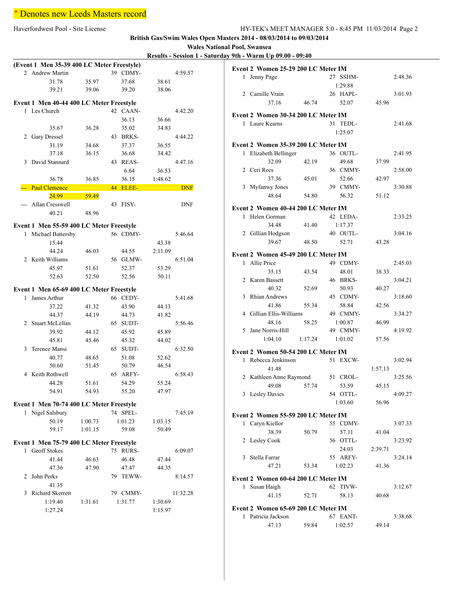Haverfordwest Pool - Site License

| HY-TEK's MEET MANAGER 5.0 - 8:45 PM 11/03/2014 Page 2 |  |
|-------------------------------------------------------|--|
|-------------------------------------------------------|--|

**British Gas/Swim Wales Open Masters 2014 - 08/03/2014 to 09/03/2014**

**Wales National Pool, Swansea**

**Results - Session 1 - Saturday 9th - Warm Up 09.00 - 09:40**

|                |                                            |         |    |                 | <b>INCOURS - DESSION 1</b> |            |
|----------------|--------------------------------------------|---------|----|-----------------|----------------------------|------------|
|                | (Event 1 Men 35-39 400 LC Meter Freestyle) |         |    |                 |                            |            |
|                | 2 Andrew Martin                            |         |    | 39 CDMY-        |                            | 4:59.57    |
|                | 31.78                                      | 35.97   |    | 37.68           | 38.61                      |            |
|                | 39.21                                      | 39.06   |    | 39.20           | 38.06                      |            |
|                |                                            |         |    |                 |                            |            |
|                | Event 1 Men 40-44 400 LC Meter Freestyle   |         |    |                 |                            |            |
| 1              | Les Church                                 |         |    | 42 CAAN-        |                            | 4:42.20    |
|                |                                            |         |    | 36.13           | 36.66                      |            |
|                | 35.67                                      | 36.28   |    | 35.02           | 34.83                      |            |
| $\overline{2}$ | Gary Dressel                               |         |    | 43 BRKS-        |                            | 4:44.22    |
|                | 31.19                                      | 34.68   |    | 37.37           | 36.55                      |            |
|                | 37.18                                      | 36.15   |    | 36.68           | 34.42                      |            |
| 3              | David Stannard                             |         |    | 43 REAS-        |                            | 4:47.16    |
|                |                                            |         |    | 6.64            | 36.53                      |            |
|                | 36.78                                      | 36.85   |    | 36.15           | 1:48.62                    |            |
|                | --- Paul Clemence                          |         |    | <b>44 ELEE-</b> |                            | <b>DNF</b> |
|                | 24.99                                      | 59.49   |    |                 |                            |            |
|                | Allan Cresswell                            |         | 43 | FISY-           |                            | <b>DNF</b> |
|                | 40.21                                      | 48.96   |    |                 |                            |            |
|                | Event 1 Men 55-59 400 LC Meter Freestyle   |         |    |                 |                            |            |
| 1              | Michael Battersby                          |         |    | 56 CDMY-        |                            | 5:46.64    |
|                | 15.44                                      |         |    |                 | 43.38                      |            |
|                | 44.24                                      | 46.03   |    | 44.55           | 2:11.09                    |            |
|                | 2 Keith Williams                           |         |    | 56 GLMW-        |                            | 6:51.04    |
|                | 45.97                                      | 51.61   |    | 52.37           | 53.29                      |            |
|                | 52.63                                      | 52.50   |    | 52.56           | 50.11                      |            |
|                | Event 1 Men 65-69 400 LC Meter Freestyle   |         |    |                 |                            |            |
| 1              | James Arthur                               |         |    | 66 CEDY-        |                            | 5:41.68    |
|                | 37.22                                      | 41.32   |    | 43.90           | 44.13                      |            |
|                | 44.37                                      | 44.19   |    | 44.73           | 41.82                      |            |
| 2              | Stuart McLellan                            |         |    | 65 SUDT-        |                            | 5:56.46    |
|                | 39.92                                      | 44.12   |    | 45.92           | 45.89                      |            |
|                | 45.81                                      | 45.46   |    | 45.32           | 44.02                      |            |
| 3              | Terence Mansi                              |         |    | 65 SUDT-        |                            | 6:32.50    |
|                | 40.77                                      | 48.65   |    | 51.08           | 52.62                      |            |
|                | 50.60                                      | 51.45   |    | 50.79           | 46.54                      |            |
| 4              | Keith Rothwell                             |         |    | 65 ARFY-        |                            | 6:58.43    |
|                | 44.28                                      | 51.61   |    | 54.29           | 55.24                      |            |
|                | 54.91                                      | 54.93   |    | 55.20           | 47.97                      |            |
|                |                                            |         |    |                 |                            |            |
|                | Event 1 Men 70-74 400 LC Meter Freestyle   |         |    |                 |                            |            |
| 1              | Nigel Salsbury                             |         | 74 | SPEL-           |                            | 7:45.19    |
|                | 50.19                                      | 1:00.73 |    | 1:01.23         | 1:03.15                    |            |
|                | 59.17                                      | 1:01.15 |    | 59.08           | 50.49                      |            |
|                | Event 1 Men 75-79 400 LC Meter Freestyle   |         |    |                 |                            |            |
| 1              | <b>Geoff Stokes</b>                        |         |    | 75 RURS-        |                            | 6:09.07    |
|                | 41.44                                      | 46.63   |    | 46.48           | 47.44                      |            |
|                | 47.36                                      | 47.90   |    | 47.47           | 44.35                      |            |
| 2              | John Perks                                 |         | 79 | TEWW-           |                            | 8:14.57    |
|                | 41.35                                      |         |    |                 |                            |            |
| 3              | Richard Skerrett                           |         |    | 79 CMMY-        |                            | 11:32.28   |
|                | 1:19.40                                    | 1:31.61 |    | 1:31.77         | 1:30.69                    |            |
|                | 1:27.24                                    |         |    |                 | 1:15.97                    |            |

|              | Event 2 Women 25-29 200 LC Meter IM |         |                        |         |         |
|--------------|-------------------------------------|---------|------------------------|---------|---------|
| 1            | Jenny Page                          |         | 27<br>SSHM-<br>1:29.88 |         | 2:48.36 |
|              | 2 Camille Vrain                     |         | 26 HAPL-               |         | 3:01.93 |
|              | 37.16                               | 46.74   | 52.07                  | 45.96   |         |
|              | Event 2 Women 30-34 200 LC Meter IM |         |                        |         |         |
|              | 1 Laure Kearns                      |         | 31 TEDL-               |         | 2:41.68 |
|              |                                     |         | 1:25.07                |         |         |
|              | Event 2 Women 35-39 200 LC Meter IM |         |                        |         |         |
| 1            | Elizabeth Bellinger                 |         | 36 OUTL-               |         | 2:41.95 |
|              | 32.09                               | 42.19   | 49.68                  | 37.99   |         |
|              | 2 Ceri Rees                         |         | 36 CMMY-               |         | 2:58.00 |
|              | 37.36                               | 45.01   | 52.66                  | 42.97   |         |
| 3            | Myfanwy Jones                       |         | 39 CMMY-               |         | 3:30.88 |
|              | 48.64                               | 54.80   | 56.32                  | 51.12   |         |
|              | Event 2 Women 40-44 200 LC Meter IM |         |                        |         |         |
| 1            | Helen Gorman                        |         | 42 LEDA-               |         | 2:33.25 |
|              | 34.48                               | 41.40   | 1:17.37                |         |         |
|              | 2 Gillian Hodgson                   |         | 40 OUTL-               |         | 3:04.16 |
|              | 39.67                               | 48.50   | 52.71                  | 43.28   |         |
|              | Event 2 Women 45-49 200 LC Meter IM |         |                        |         |         |
|              | 1 Allie Price                       |         | 49 CDMY-               |         | 2:45.03 |
|              | 35.15                               | 43.54   | 48.01                  | 38.33   |         |
| 2            | Karen Bassett                       |         | 46 BRKS-               |         | 3:04.21 |
|              | 40.32                               | 52.69   | 50.93                  | 40.27   |         |
| 3            | Rhian Andrews                       |         | 45 CDMY-               |         | 3:18.60 |
|              | 41.86                               | 55.34   | 58.84                  | 42.56   |         |
| 4            | Gillian Ellis-Williams              |         | 49 CMMY-               |         | 3:34.27 |
|              | 48.16                               | 58.25   | 1:00.87                | 46.99   |         |
| 5.           | Jane Norris-Hill                    |         | 49 CMMY-               |         | 4:19.92 |
|              | 1:04.10                             | 1:17.24 | 1:01.02                | 57.56   |         |
|              | Event 2 Women 50-54 200 LC Meter IM |         |                        |         |         |
| 1            | Rebecca Jenkinson                   |         | 51<br>EXCW-            |         | 3:02.94 |
|              | 41.48                               |         |                        | 1:57.13 |         |
|              | 2 Kathleen Anne Raymond             |         | 51 CROL-               |         | 3:25.56 |
|              | 49.08                               | 57.74   | 53.59                  | 45.15   |         |
| 3            | <b>Lesley Davies</b>                |         | $54$ OTTL-             |         | 4:09.27 |
|              |                                     |         | 1:03.60                | 56.96   |         |
|              | Event 2 Women 55-59 200 LC Meter IM |         |                        |         |         |
|              | 1 Caryn Kiellor                     |         | 55<br>CDMY-            |         | 3:07.33 |
|              | 38.39                               | 50.79   | 57.11                  | 41.04   |         |
| 2            | Lesley Cook                         |         | 56 OTTL-               |         | 3:23.92 |
|              |                                     |         | 24.03                  | 2:39.71 |         |
| 3            | Stella Farrar                       |         | 55 ARFY-               |         | 3:24.14 |
|              | 47.21                               | 53.34   | 1:02.23                | 41.36   |         |
|              | Event 2 Women 60-64 200 LC Meter IM |         |                        |         |         |
| $\mathbf{1}$ | Susan Haigh                         |         | 62<br>TIVW-            |         | 3:12.67 |
|              | 41.15                               | 52.71   | 58.13                  | 40.68   |         |
|              | Event 2 Women 65-69 200 LC Meter IM |         |                        |         |         |
| 1            | Patricia Jackson                    |         | 67 EANT-               |         | 3:38.68 |
|              | 47.13                               | 59.84   | 1:02.57                | 49.14   |         |
|              |                                     |         |                        |         |         |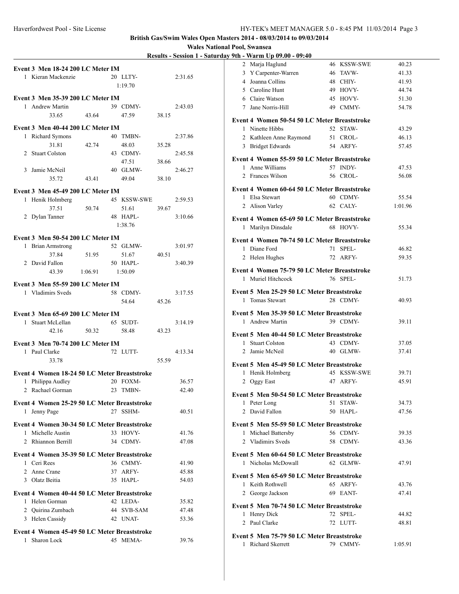| Results - Session 1 - Saturday 9th - Warm Up 09.00 - 09:40 |  |  |
|------------------------------------------------------------|--|--|
|                                                            |  |  |

|                                                       |         |             |       | Results - Session I |
|-------------------------------------------------------|---------|-------------|-------|---------------------|
| Event 3 Men 18-24 200 LC Meter IM                     |         |             |       |                     |
| 1 Kieran Mackenzie                                    |         | 20 LLTY-    |       | 2:31.65             |
|                                                       |         | 1:19.70     |       |                     |
|                                                       |         |             |       |                     |
| Event 3 Men 35-39 200 LC Meter IM                     |         |             |       |                     |
| 1 Andrew Martin                                       |         | 39 CDMY-    |       | 2:43.03             |
| 33.65                                                 | 43.64   | 47.59       | 38.15 |                     |
| Event 3 Men 40-44 200 LC Meter IM                     |         |             |       |                     |
| 1 Richard Symons                                      |         | 40 TMBN-    |       | 2:37.86             |
| 31.81                                                 | 42.74   | 48.03       | 35.28 |                     |
| 2 Stuart Colston                                      |         | 43 CDMY-    |       | 2:45.58             |
|                                                       |         | 47.51       | 38.66 |                     |
| 3 Jamie McNeil                                        |         | 40 GLMW-    |       | 2:46.27             |
| 35.72                                                 | 43.41   | 49.04       | 38.10 |                     |
|                                                       |         |             |       |                     |
| Event 3 Men 45-49 200 LC Meter IM<br>1 Henik Holmberg |         | 45 KSSW-SWE |       | 2:59.53             |
| 37.51                                                 | 50.74   | 51.61       | 39.67 |                     |
| 2 Dylan Tanner                                        |         | 48 HAPL-    |       | 3:10.66             |
|                                                       |         | 1:38.76     |       |                     |
|                                                       |         |             |       |                     |
| Event 3 Men 50-54 200 LC Meter IM                     |         |             |       |                     |
| <b>Brian Armstrong</b><br>$\mathbf{1}$                |         | 52 GLMW-    |       | 3:01.97             |
| 37.84                                                 | 51.95   | 51.67       | 40.51 |                     |
| 2 David Fallon                                        |         | 50 HAPL-    |       | 3:40.39             |
| 43.39                                                 | 1:06.91 | 1:50.09     |       |                     |
| <b>Event 3 Men 55-59 200 LC Meter IM</b>              |         |             |       |                     |
| 1 Vladimirs Sveds                                     |         | 58 CDMY-    |       | 3:17.55             |
|                                                       |         | 54.64       | 45.26 |                     |
|                                                       |         |             |       |                     |
| Event 3 Men 65-69 200 LC Meter IM                     |         |             |       |                     |
| $\mathbf{1}$<br>Stuart McLellan                       |         | 65 SUDT-    |       | 3:14.19             |
| 42.16                                                 | 50.32   | 58.48       | 43.23 |                     |
| Event 3 Men 70-74 200 LC Meter IM                     |         |             |       |                     |
| 1 Paul Clarke                                         |         | 72 LUTT-    |       | 4:13.34             |
| 33.78                                                 |         |             | 55.59 |                     |
| Event 4 Women 18-24 50 LC Meter Breaststroke          |         |             |       |                     |
| Philippa Audley<br>1                                  |         | 20 FOXM-    |       | 36.57               |
| Rachael Gorman<br>$\overline{2}$                      |         | 23 TMBN-    |       | 42.40               |
|                                                       |         |             |       |                     |
| Event 4 Women 25-29 50 LC Meter Breaststroke          |         |             |       |                     |
| Jenny Page<br>1.                                      |         | SSHM-<br>27 |       | 40.51               |
| Event 4 Women 30-34 50 LC Meter Breaststroke          |         |             |       |                     |
| 1 Michelle Austin                                     |         | 33 HOVY-    |       | 41.76               |
| 2 Rhiannon Berrill                                    |         | 34 CDMY-    |       | 47.08               |
| Event 4 Women 35-39 50 LC Meter Breaststroke          |         |             |       |                     |
| 1 Ceri Rees                                           |         | 36 CMMY-    |       | 41.90               |
| 2 Anne Crane                                          |         | 37 ARFY-    |       | 45.88               |
| 3 Olatz Beitia                                        |         | 35 HAPL-    |       | 54.03               |
|                                                       |         |             |       |                     |
| Event 4 Women 40-44 50 LC Meter Breaststroke          |         |             |       |                     |
| Helen Gorman<br>1                                     |         | 42 LEDA-    |       | 35.82               |
| 2 Quirina Zumbach                                     |         | 44 SVB-SAM  |       | 47.48               |
| 3 Helen Cassidy                                       |         | 42 UNAT-    |       | 53.36               |
| Event 4 Women 45-49 50 LC Meter Breaststroke          |         |             |       |                     |
| Sharon Lock<br>$\mathbf{1}$                           |         | 45 MEMA-    |       | 39.76               |
|                                                       |         |             |       |                     |

| 2 Marja Haglund                                                | 46 KSSW-SWE | 40.23          |
|----------------------------------------------------------------|-------------|----------------|
| 3 Y Carpenter-Warren                                           | 46 TAVW-    | 41.33          |
| Joanna Collins<br>4                                            | 48 CHIY-    | 41.93          |
| 5 Caroline Hunt                                                | 49 HOVY-    | 44.74          |
| 6 Claire Watson                                                | 45 HOVY-    | 51.30          |
| 7 Jane Norris-Hill                                             | 49 CMMY-    | 54.78          |
| Event 4 Women 50-54 50 LC Meter Breaststroke                   |             |                |
| 1 Ninette Hibbs                                                | 52 STAW-    | 43.29          |
| 2 Kathleen Anne Raymond                                        | 51 CROL-    | 46.13          |
| 3 Bridget Edwards                                              | 54 ARFY-    | 57.45          |
|                                                                |             |                |
| Event 4 Women 55-59 50 LC Meter Breaststroke                   |             |                |
| 1 Anne Williams                                                | 57 INDY-    | 47.53          |
| 2 Frances Wilson                                               | 56 CROL-    | 56.08          |
| Event 4 Women 60-64 50 LC Meter Breaststroke                   |             |                |
| 1 Elsa Stewart                                                 | 60 CDMY-    | 55.54          |
| 2 Alison Varley                                                | 62 CALY-    | 1:01.96        |
| Event 4 Women 65-69 50 LC Meter Breaststroke                   |             |                |
| 1 Marilyn Dinsdale                                             | 68 HOVY-    | 55.34          |
|                                                                |             |                |
| Event 4 Women 70-74 50 LC Meter Breaststroke                   |             |                |
| 1 Diane Ford                                                   | 71 SPEL-    | 46.82          |
| 2 Helen Hughes                                                 | 72 ARFY-    | 59.35          |
| Event 4 Women 75-79 50 LC Meter Breaststroke                   |             |                |
| 1 Muriel Hitchcock                                             | 76 SPEL-    | 51.73          |
|                                                                |             |                |
| Event 5 Men 25-29 50 LC Meter Breaststroke                     |             |                |
| 1 Tomas Stewart                                                | 28 CDMY-    | 40.93          |
| Event 5 Men 35-39 50 LC Meter Breaststroke                     |             |                |
| 1 Andrew Martin                                                | 39 CDMY-    | 39.11          |
|                                                                |             |                |
| Event 5 Men 40-44 50 LC Meter Breaststroke<br>1 Stuart Colston | 43 CDMY-    |                |
| 2 Jamie McNeil                                                 | 40 GLMW-    | 37.05<br>37.41 |
|                                                                |             |                |
| Event 5 Men 45-49 50 LC Meter Breaststroke                     |             |                |
| 1 Henik Holmberg                                               | 45 KSSW-SWE | 39.71          |
| 2 Oggy East                                                    | 47 ARFY-    | 45.91          |
| Event 5 Men 50-54 50 LC Meter Breaststroke                     |             |                |
| 1 Peter Long                                                   | 51 STAW-    | 34.73          |
| 2 David Fallon                                                 | 50 HAPL-    | 47.56          |
|                                                                |             |                |
| Event 5 Men 55-59 50 LC Meter Breaststroke                     |             |                |
| Michael Battersby<br>1                                         | 56 CDMY-    | 39.35          |
| 2 Vladimirs Sveds                                              | 58 CDMY-    | 43.36          |
| Event 5 Men 60-64 50 LC Meter Breaststroke                     |             |                |
| 1 Nicholas McDowall                                            | 62 GLMW-    | 47.91          |
|                                                                |             |                |
| Event 5 Men 65-69 50 LC Meter Breaststroke<br>1 Keith Rothwell | 65 ARFY-    | 43.76          |
| 2 George Jackson                                               | 69 EANT-    | 47.41          |
|                                                                |             |                |
| Event 5 Men 70-74 50 LC Meter Breaststroke                     |             |                |
| Henry Dick<br>1                                                | 72 SPEL-    | 44.82          |
| 2 Paul Clarke                                                  | 72 LUTT-    | 48.81          |
| Event 5 Men 75-79 50 LC Meter Breaststroke                     |             |                |
| 1 Richard Skerrett                                             | 79 CMMY-    | 1:05.91        |
|                                                                |             |                |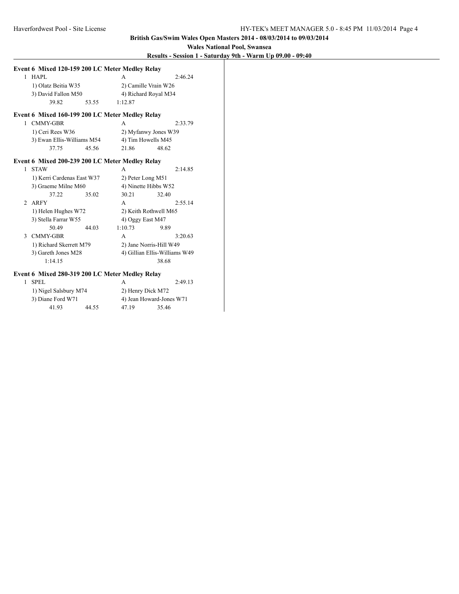**Wales National Pool, Swansea**

**Results - Session 1 - Saturday 9th - Warm Up 09.00 - 09:40**

|                | Event 6 Mixed 120-159 200 LC Meter Medley Relay |       |                               |                         |  |
|----------------|-------------------------------------------------|-------|-------------------------------|-------------------------|--|
| $\mathbf{1}$   | HAPL                                            |       | A                             | 2:46.24                 |  |
|                | 1) Olatz Beitia W35                             |       |                               | 2) Camille Vrain W26    |  |
|                | 3) David Fallon M50                             |       |                               | 4) Richard Royal M34    |  |
|                | 39.82                                           | 53.55 | 1:12.87                       |                         |  |
|                | Event 6 Mixed 160-199 200 LC Meter Medley Relay |       |                               |                         |  |
|                | 1 CMMY-GBR                                      |       | A                             | 2:33.79                 |  |
|                | 1) Ceri Rees W36                                |       | 2) Myfanwy Jones W39          |                         |  |
|                | 3) Ewan Ellis-Williams M54                      |       |                               | 4) Tim Howells M45      |  |
|                | 37.75                                           | 45.56 | 21.86                         | 48.62                   |  |
|                | Event 6 Mixed 200-239 200 LC Meter Medley Relay |       |                               |                         |  |
| $\mathbf{1}$   | <b>STAW</b>                                     |       | A                             | 2:14.85                 |  |
|                | 1) Kerri Cardenas East W37                      |       | 2) Peter Long M51             |                         |  |
|                | 3) Graeme Milne M60                             |       | 4) Ninette Hibbs W52          |                         |  |
|                | 37.22                                           | 35.02 | 30.21                         | 32.40                   |  |
| $\mathfrak{D}$ | ARFY                                            |       | $\mathsf{A}$                  | 2:55.14                 |  |
|                | 1) Helen Hughes W72                             |       | 2) Keith Rothwell M65         |                         |  |
|                | 3) Stella Farrar W55                            |       | 4) Oggy East M47              |                         |  |
|                | 50.49                                           | 44.03 | 1:10.73                       | 9.89                    |  |
| 3              | <b>CMMY-GBR</b>                                 |       | A                             | 3:20.63                 |  |
|                | 1) Richard Skerrett M79                         |       |                               | 2) Jane Norris-Hill W49 |  |
|                | 3) Gareth Jones M28                             |       | 4) Gillian Ellis-Williams W49 |                         |  |
|                | 1:14.15                                         |       |                               | 38.68                   |  |
|                | Event 6 Mixed 280-319 200 LC Meter Medley Relay |       |                               |                         |  |
| $\mathbf{1}$   | SPEL.                                           |       | A                             | 2:49.13                 |  |
|                | 1) Nigel Salsbury M74                           |       | 2) Henry Dick M72             |                         |  |

| 1) Nigel Salsbury M74 |       | 2) Henry Dick M72        |       |  |  |
|-----------------------|-------|--------------------------|-------|--|--|
| 3) Diane Ford W71     |       | 4) Jean Howard-Jones W71 |       |  |  |
| 41.93                 | 44.55 | 47.19                    | 35.46 |  |  |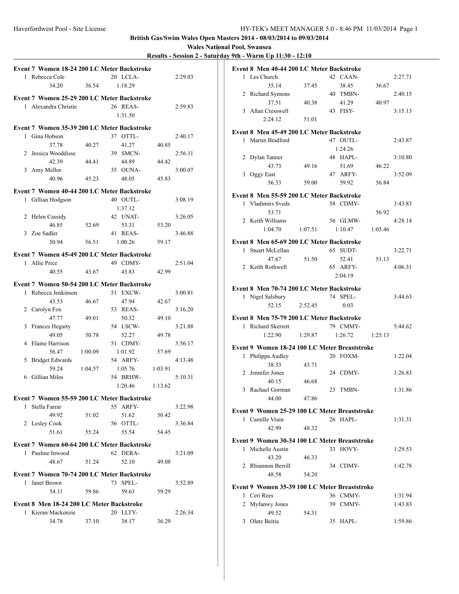| Results - Session 2 - Saturday 9th - Warm Up 11:30 - 12:10 |  |  |  |
|------------------------------------------------------------|--|--|--|
|------------------------------------------------------------|--|--|--|

|                                             | Event 7 Women 18-24 200 LC Meter Backstroke |         |  |            |         |         |  |  |
|---------------------------------------------|---------------------------------------------|---------|--|------------|---------|---------|--|--|
| $\mathbf{1}$                                | Rebecca Cole                                |         |  | 20 LCLA-   |         | 2:29.03 |  |  |
|                                             | 34.20                                       | 36.54   |  | 1:18.29    |         |         |  |  |
|                                             | Event 7 Women 25-29 200 LC Meter Backstroke |         |  |            |         |         |  |  |
|                                             | 1 Alexandra Christie                        |         |  | 26 REAS-   |         | 2:59.83 |  |  |
|                                             |                                             |         |  | 1:31.50    |         |         |  |  |
|                                             |                                             |         |  |            |         |         |  |  |
|                                             | Event 7 Women 35-39 200 LC Meter Backstroke |         |  |            |         |         |  |  |
| 1                                           | Gina Hobson                                 |         |  | 37 OTTL-   |         | 2:40.17 |  |  |
|                                             | 37.78                                       | 40.27   |  | 41.27      | 40.85   |         |  |  |
| 2                                           | Jessica Wooddisse                           |         |  | 39 SMCN-   |         | 2:56.11 |  |  |
|                                             | 42.39                                       | 44.41   |  | 44.89      | 44.42   |         |  |  |
| 3                                           | Amy Mellor                                  |         |  | 35 OUNA-   |         | 3:00.07 |  |  |
|                                             | 40.96                                       | 45.23   |  | 48.05      | 45.83   |         |  |  |
|                                             | Event 7 Women 40-44 200 LC Meter Backstroke |         |  |            |         |         |  |  |
| 1                                           | Gillian Hodgson                             |         |  | 40 OUTL-   |         | 3:08.19 |  |  |
|                                             |                                             |         |  | 1:37.12    |         |         |  |  |
|                                             |                                             |         |  |            |         |         |  |  |
|                                             | 2 Helen Cassidy                             |         |  | 42 UNAT-   |         | 3:26.05 |  |  |
|                                             | 46.85                                       | 52.69   |  | 53.31      | 53.20   |         |  |  |
|                                             | 3 Zoe Sadler                                |         |  | 41 REAS-   |         | 3:46.88 |  |  |
|                                             | 50.94                                       | 56.51   |  | 1:00.26    | 59.17   |         |  |  |
|                                             | Event 7 Women 45-49 200 LC Meter Backstroke |         |  |            |         |         |  |  |
|                                             | 1 Allie Price                               |         |  | 49 CDMY-   |         | 2:51.04 |  |  |
|                                             | 40.55                                       | 43.67   |  | 43.83      | 42.99   |         |  |  |
|                                             |                                             |         |  |            |         |         |  |  |
|                                             | Event 7 Women 50-54 200 LC Meter Backstroke |         |  |            |         |         |  |  |
| $\mathbf{1}$                                | Rebecca Jenkinson                           |         |  | 51 EXCW-   |         | 3:00.81 |  |  |
|                                             | 43.53                                       | 46.67   |  | 47.94      | 42.67   |         |  |  |
| 2                                           | Carolyn Fox                                 |         |  | 53 REAS-   |         | 3:16.20 |  |  |
|                                             | 47.77                                       | 49.01   |  | 50.32      | 49.10   |         |  |  |
| 3                                           | Frances Hegarty                             |         |  | 54 LSCW-   |         | 3:21.88 |  |  |
|                                             | 49.05                                       | 50.78   |  | 52.27      | 49.78   |         |  |  |
| $\overline{4}$                              | Elaine Harrison                             |         |  | 51 CDMY-   |         | 3:56.17 |  |  |
|                                             | 56.47                                       | 1:00.09 |  | 1:01.92    | 57.69   |         |  |  |
| 5                                           | <b>Bridget Edwards</b>                      |         |  | 54 ARFY-   |         | 4:13.48 |  |  |
|                                             | 59.24                                       | 1:04.57 |  | 1:05.76    | 1:03.91 |         |  |  |
| 6                                           | <b>Gillian Miles</b>                        |         |  | 54 BRHW-   |         | 5:10.31 |  |  |
|                                             |                                             |         |  | 1:20.46    | 1:13.62 |         |  |  |
|                                             |                                             |         |  |            |         |         |  |  |
|                                             | Event 7 Women 55-59 200 LC Meter Backstroke |         |  |            |         |         |  |  |
| $\mathbf{1}$                                | Stella Farrar                               |         |  | 55 ARFY-   |         | 3:22.98 |  |  |
|                                             | 49.92                                       | 51.02   |  | 51.62      | 50.42   |         |  |  |
|                                             | 2 Lesley Cook                               |         |  | 56 OTTL-   |         | 3:36.84 |  |  |
|                                             | 51.61                                       | 55.24   |  | 55.54      | 54.45   |         |  |  |
| Event 7 Women 60-64 200 LC Meter Backstroke |                                             |         |  |            |         |         |  |  |
|                                             | 1 Pauline Inwood                            |         |  | 62 DERA-   |         | 3:21.09 |  |  |
|                                             | 48.67                                       | 51.24   |  | 52.10      | 49.08   |         |  |  |
|                                             |                                             |         |  |            |         |         |  |  |
|                                             | Event 7 Women 70-74 200 LC Meter Backstroke |         |  |            |         |         |  |  |
| 1                                           | Janet Brown                                 |         |  | $73$ SPEL- |         | 3:52.89 |  |  |
|                                             | 54.11                                       | 59.86   |  | 59.63      | 59.29   |         |  |  |
|                                             | Event 8 Men 18-24 200 LC Meter Backstroke   |         |  |            |         |         |  |  |
|                                             | 1 Kieran Mackenzie                          |         |  | 20 LLTY-   |         | 2:26.34 |  |  |
|                                             | 34.78                                       | 37.10   |  | 38.17      | 36.29   |         |  |  |

|   | Event 8 Men 40-44 200 LC Meter Backstroke                          |         |    |          |         |         |
|---|--------------------------------------------------------------------|---------|----|----------|---------|---------|
|   | 1 Les Church                                                       |         |    | 42 CAAN- |         | 2:27.71 |
|   | 35.14                                                              | 37.45   |    | 38.45    | 36.67   |         |
|   | 2 Richard Symons                                                   |         |    | 40 TMBN- |         | 2:40.15 |
|   | 37.51                                                              | 40.38   |    | 41.29    | 40.97   |         |
|   | 3 Allan Cresswell                                                  |         |    | 43 FISY- |         | 3:15.13 |
|   | 2:24.12                                                            | 51.01   |    |          |         |         |
|   | Event 8 Men 45-49 200 LC Meter Backstroke                          |         |    |          |         |         |
|   | 1 Martin Bradford                                                  |         |    | 47 OUTL- |         | 2:43.87 |
|   |                                                                    |         |    | 1:24.26  |         |         |
|   | 2 Dylan Tanner                                                     |         |    | 48 HAPL- |         | 3:10.80 |
|   | 43.73                                                              | 49.16   |    | 51.69    | 46.22   |         |
|   | 3 Oggy East                                                        |         |    | 47 ARFY- |         | 3:52.09 |
|   | 56.33                                                              | 59.00   |    | 59.92    | 56.84   |         |
|   | Event 8 Men 55-59 200 LC Meter Backstroke                          |         |    |          |         |         |
|   | 1 Vladimirs Sveds                                                  |         |    | 58 CDMY- |         | 3:43.83 |
|   | 53.71                                                              |         |    |          | 56.92   |         |
|   | 2 Keith Williams                                                   |         |    | 56 GLMW- |         | 4:28.14 |
|   | 1:04.70                                                            | 1:07.51 |    | 1:10.47  | 1:05.46 |         |
|   | Event 8 Men 65-69 200 LC Meter Backstroke                          |         |    |          |         |         |
|   | 1 Stuart McLellan                                                  |         |    | 65 SUDT- |         | 3:22.71 |
|   | 47.67                                                              | 51.50   |    | 52.41    | 51.13   |         |
|   | 2 Keith Rothwell                                                   |         |    | 65 ARFY- |         | 4:06.31 |
|   |                                                                    |         |    | 2:04.19  |         |         |
|   |                                                                    |         |    |          |         |         |
|   | Event 8 Men 70-74 200 LC Meter Backstroke                          |         |    |          |         |         |
|   | 1 Nigel Salsbury<br>52.15                                          |         |    | 74 SPEL- |         | 3:44.63 |
|   |                                                                    | 2:52.45 |    | 0.03     |         |         |
|   | Event 8 Men 75-79 200 LC Meter Backstroke                          |         |    |          |         |         |
|   | 1 Richard Skerrett                                                 |         |    | 79 CMMY- |         | 5:44.62 |
|   | 1:22.90                                                            | 1:29.87 |    | 1:26.72  | 1:25.13 |         |
|   | Event 9 Women 18-24 100 LC Meter Breaststroke                      |         |    |          |         |         |
|   | 1 Philippa Audley                                                  |         |    | 20 FOXM- |         | 1:22.04 |
|   | 38.33                                                              | 43.71   |    |          |         |         |
|   | 2 Jennifer Jones                                                   |         |    | 24 CDMY- |         | 1:26.83 |
|   | 40.15                                                              | 46.68   |    |          |         |         |
| 3 | Rachael Gorman                                                     |         | 23 | TMBN-    |         | 1:31.86 |
|   | 44.00                                                              | 47.86   |    |          |         |         |
|   | Event 9 Women 25-29 100 LC Meter Breaststroke                      |         |    |          |         |         |
|   | 1 Camille Vrain                                                    |         |    | 26 HAPL- |         | 1:31.31 |
|   | 42.99                                                              | 48.32   |    |          |         |         |
|   |                                                                    |         |    |          |         |         |
|   | Event 9 Women 30-34 100 LC Meter Breaststroke<br>1 Michelle Austin |         |    | 33 HOVY- |         | 1:29.53 |
|   | 43.20                                                              | 46.33   |    |          |         |         |
|   | 2 Rhiannon Berrill                                                 |         |    | 34 CDMY- |         | 1:42.78 |
|   | 48.58                                                              | 54.20   |    |          |         |         |
|   |                                                                    |         |    |          |         |         |
|   | Event 9 Women 35-39 100 LC Meter Breaststroke                      |         |    |          |         |         |
|   | 1 Ceri Rees                                                        |         |    | 36 CMMY- |         | 1:31.94 |
|   | 2 Myfanwy Jones                                                    |         |    | 39 CMMY- |         | 1:43.83 |
|   | 49.52                                                              | 54.31   |    |          |         |         |
| 3 | Olatz Beitia                                                       |         |    | 35 HAPL- |         | 1:59.86 |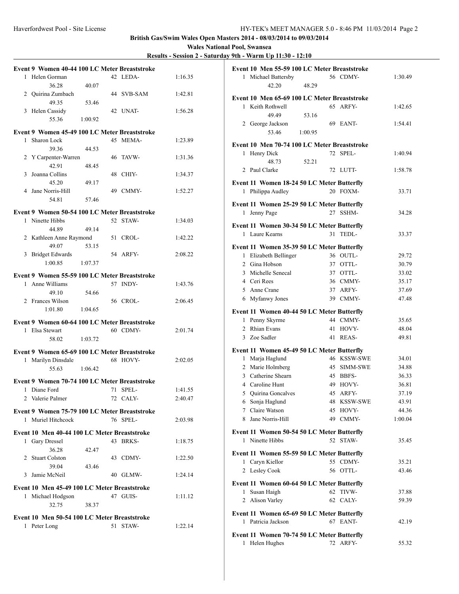| Results - Session 2 - Saturday 9th - Warm Up 11:30 - 12:10 |
|------------------------------------------------------------|
|------------------------------------------------------------|

|              | Event 9 Women 40-44 100 LC Meter Breaststroke |         |    |            |         |
|--------------|-----------------------------------------------|---------|----|------------|---------|
| 1            | Helen Gorman                                  |         |    | 42 LEDA-   | 1:16.35 |
|              |                                               |         |    |            |         |
|              | 36.28                                         | 40.07   |    |            |         |
|              | 2 Quirina Zumbach                             |         |    | 44 SVB-SAM | 1:42.81 |
|              | 49.35                                         | 53.46   |    |            |         |
|              | 3 Helen Cassidy                               |         |    | 42 UNAT-   | 1:56.28 |
|              | 55.36                                         | 1:00.92 |    |            |         |
|              |                                               |         |    |            |         |
|              | Event 9 Women 45-49 100 LC Meter Breaststroke |         |    |            |         |
| $\mathbf{1}$ | Sharon Lock                                   |         |    | 45 MEMA-   | 1:23.89 |
|              | 39.36                                         | 44.53   |    |            |         |
|              |                                               |         |    | 46 TAVW-   | 1:31.36 |
|              | 2 Y Carpenter-Warren                          |         |    |            |         |
|              | 42.91                                         | 48.45   |    |            |         |
| 3            | Joanna Collins                                |         |    | 48 CHIY-   | 1:34.37 |
|              | 45.20                                         | 49.17   |    |            |         |
|              | 4 Jane Norris-Hill                            |         |    | 49 CMMY-   | 1:52.27 |
|              | 54.81                                         | 57.46   |    |            |         |
|              |                                               |         |    |            |         |
|              | Event 9 Women 50-54 100 LC Meter Breaststroke |         |    |            |         |
| 1.           | Ninette Hibbs                                 |         |    | 52 STAW-   | 1:34.03 |
|              | 44.89                                         | 49.14   |    |            |         |
|              | 2 Kathleen Anne Raymond                       |         |    | 51 CROL-   | 1:42.22 |
|              |                                               |         |    |            |         |
|              | 49.07                                         | 53.15   |    |            |         |
|              | 3 Bridget Edwards                             |         |    | 54 ARFY-   | 2:08.22 |
|              | 1:00.85                                       | 1:07.37 |    |            |         |
|              | Event 9 Women 55-59 100 LC Meter Breaststroke |         |    |            |         |
|              |                                               |         |    |            |         |
|              | 1 Anne Williams                               |         |    | 57 INDY-   | 1:43.76 |
|              | 49.10                                         | 54.66   |    |            |         |
|              | 2 Frances Wilson                              |         |    | 56 CROL-   | 2:06.45 |
|              | 1:01.80                                       | 1:04.65 |    |            |         |
|              |                                               |         |    |            |         |
|              | Event 9 Women 60-64 100 LC Meter Breaststroke |         |    |            |         |
|              | 1 Elsa Stewart                                |         |    | 60 CDMY-   | 2:01.74 |
|              | 58.02                                         | 1:03.72 |    |            |         |
|              |                                               |         |    |            |         |
|              | Event 9 Women 65-69 100 LC Meter Breaststroke |         |    |            |         |
| 1            | Marilyn Dinsdale                              |         |    | 68 HOVY-   | 2:02.05 |
|              | 55.63                                         | 1:06.42 |    |            |         |
|              |                                               |         |    |            |         |
|              | Event 9 Women 70-74 100 LC Meter Breaststroke |         |    |            |         |
| 1            | Diane Ford                                    |         | 71 | SPEL-      | 1:41.55 |
|              | 2 Valerie Palmer                              |         |    | 72 CALY-   | 2:40.47 |
|              |                                               |         |    |            |         |
|              | Event 9 Women 75-79 100 LC Meter Breaststroke |         |    |            |         |
|              | 1 Muriel Hitchcock                            |         |    | 76 SPEL-   | 2:03.98 |
|              |                                               |         |    |            |         |
|              | Event 10 Men 40-44 100 LC Meter Breaststroke  |         |    |            |         |
|              | 1 Gary Dressel                                |         |    | 43 BRKS-   | 1:18.75 |
|              | 36.28                                         | 42.47   |    |            |         |
|              | 2 Stuart Colston                              |         |    | 43 CDMY-   | 1:22.50 |
|              | 39.04                                         | 43.46   |    |            |         |
| 3            | Jamie McNeil                                  |         |    | 40 GLMW-   | 1:24.14 |
|              |                                               |         |    |            |         |
|              | Event 10 Men 45-49 100 LC Meter Breaststroke  |         |    |            |         |
| $\mathbf{1}$ | Michael Hodgson                               |         |    | 47 GUIS-   | 1:11.12 |
|              | 32.75                                         | 38.37   |    |            |         |
|              |                                               |         |    |            |         |
|              | Event 10 Men 50-54 100 LC Meter Breaststroke  |         |    |            |         |
|              | 1 Peter Long                                  |         |    | 51 STAW-   | 1:22.14 |
|              |                                               |         |    |            |         |

| Event 10 Men 55-59 100 LC Meter Breaststroke      |                       |         |
|---------------------------------------------------|-----------------------|---------|
| 1 Michael Battersby                               | 56 CDMY-              | 1:30.49 |
| 42.20<br>48.29                                    |                       |         |
|                                                   |                       |         |
| Event 10 Men 65-69 100 LC Meter Breaststroke      |                       |         |
| Keith Rothwell<br>1                               | 65 ARFY-              | 1:42.65 |
| 49.49<br>53.16                                    |                       |         |
| 2 George Jackson                                  | 69 EANT-              | 1:54.41 |
| 53.46<br>1:00.95                                  |                       |         |
| Event 10 Men 70-74 100 LC Meter Breaststroke      |                       |         |
| Henry Dick<br>1                                   | SPEL-<br>72           | 1:40.94 |
| 48.73<br>52.21                                    |                       |         |
| 2 Paul Clarke                                     | 72 LUTT-              | 1:58.78 |
|                                                   |                       |         |
| Event 11 Women 18-24 50 LC Meter Butterfly        |                       |         |
| 1 Philippa Audley                                 | 20 FOXM-              | 33.71   |
| Event 11 Women 25-29 50 LC Meter Butterfly        |                       |         |
| 1 Jenny Page                                      | 27 SSHM-              | 34.28   |
|                                                   |                       |         |
| Event 11 Women 30-34 50 LC Meter Butterfly        |                       |         |
| Laure Kearns<br>$\mathbf{1}$                      | 31<br>TEDI-           | 33.37   |
| Event 11 Women 35-39 50 LC Meter Butterfly        |                       |         |
| Elizabeth Bellinger<br>$\mathbf{1}$               | 36 OUTL-              | 29.72   |
| 2 Gina Hobson                                     | OTTL-<br>37           | 30.79   |
| 3 Michelle Senecal                                | OTTL-<br>37           | 33.02   |
| 4 Ceri Rees                                       | 36 CMMY-              | 35.17   |
| 5 Anne Crane                                      | 37 ARFY-              | 37.69   |
| 6 Myfanwy Jones                                   | 39 CMMY-              | 47.48   |
|                                                   |                       |         |
| Event 11 Women 40-44 50 LC Meter Butterfly        |                       |         |
| Penny Skyrme<br>$\mathbf{1}$                      | 44<br>CMMY-           | 35.65   |
| 2 Rhian Evans                                     | 41<br>HOVY-           | 48.04   |
| 3 Zoe Sadler                                      | REAS-<br>41           | 49.81   |
|                                                   |                       |         |
| Event 11 Women 45-49 50 LC Meter Butterfly        | 46 KSSW-SWE           | 34.01   |
| Marja Haglund<br>$\mathbf{1}$<br>2 Marie Holmberg | SIMM-SWE<br>45        | 34.88   |
| 3 Catherine Shearn                                | 45<br>BBFS-           | 36.33   |
| 4 Caroline Hunt                                   | 49 HOVY-              |         |
|                                                   | 45<br>ARFY-           | 36.81   |
| 5<br>Quirina Goncalves                            |                       | 37.19   |
| 6 Sonja Haglund                                   | <b>KSSW-SWE</b><br>48 | 43.91   |
| 7 Claire Watson                                   | 45<br>HOVY-           | 44.36   |
| Jane Norris-Hill<br>8.                            | CMMY-<br>49           | 1:00.04 |
| Event 11 Women 50-54 50 LC Meter Butterfly        |                       |         |
| Ninette Hibbs<br>$\mathbf{1}$                     | 52 STAW-              | 35.45   |
|                                                   |                       |         |
| Event 11 Women 55-59 50 LC Meter Butterfly        | 55 CDMY-              |         |
| 1 Caryn Kiellor                                   | 56 OTTL-              | 35.21   |
| 2 Lesley Cook                                     |                       | 43.46   |
| Event 11 Women 60-64 50 LC Meter Butterfly        |                       |         |
| Susan Haigh<br>1                                  | 62 TIVW-              | 37.88   |
| 2 Alison Varley                                   | 62 CALY-              | 59.39   |
|                                                   |                       |         |
| Event 11 Women 65-69 50 LC Meter Butterfly        |                       |         |
| Patricia Jackson<br>1                             | 67 EANT-              | 42.19   |
| Event 11 Women 70-74 50 LC Meter Butterfly        |                       |         |
| Helen Hughes<br>1                                 | 72 ARFY-              | 55.32   |
|                                                   |                       |         |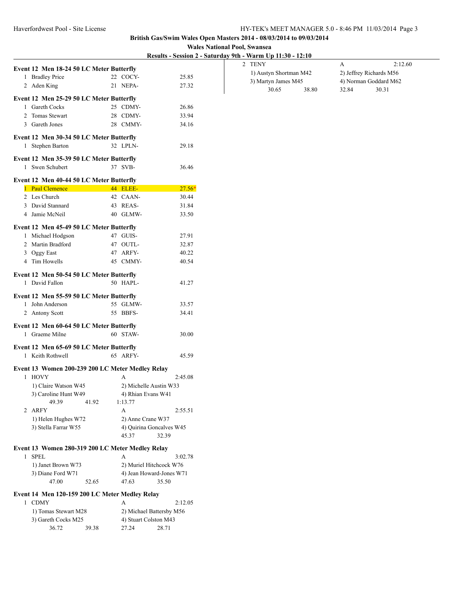|                                                             |                                   |          | Results - Session 2 - Saturday 9th - Warm Up 11:30 - 12:10 |                         |
|-------------------------------------------------------------|-----------------------------------|----------|------------------------------------------------------------|-------------------------|
|                                                             |                                   |          | 2 TENY                                                     | 2:12.60<br>A            |
| Event 12 Men 18-24 50 LC Meter Butterfly<br>1 Bradley Price | 22 COCY-                          | 25.85    | 1) Austyn Shortman M42                                     | 2) Jeffrey Richards M56 |
| 2 Aden King                                                 | 21 NEPA-                          | 27.32    | 3) Martyn James M45                                        | 4) Norman Goddard M62   |
|                                                             |                                   |          | 30.65<br>38.80                                             | 30.31<br>32.84          |
| Event 12 Men 25-29 50 LC Meter Butterfly                    |                                   |          |                                                            |                         |
| 1 Gareth Cocks                                              | 25 CDMY-                          | 26.86    |                                                            |                         |
| 2 Tomas Stewart                                             | 28 CDMY-                          | 33.94    |                                                            |                         |
| 3 Gareth Jones                                              | 28 CMMY-                          | 34.16    |                                                            |                         |
| Event 12 Men 30-34 50 LC Meter Butterfly                    |                                   |          |                                                            |                         |
| 1 Stephen Barton                                            | 32 LPLN-                          | 29.18    |                                                            |                         |
|                                                             |                                   |          |                                                            |                         |
| Event 12 Men 35-39 50 LC Meter Butterfly<br>1 Swen Schubert | 37 SVB-                           | 36.46    |                                                            |                         |
|                                                             |                                   |          |                                                            |                         |
| Event 12 Men 40-44 50 LC Meter Butterfly                    |                                   |          |                                                            |                         |
| 1 Paul Clemence                                             | <b>44 ELEE-</b>                   | $27.56*$ |                                                            |                         |
| 2 Les Church                                                | 42 CAAN-                          | 30.44    |                                                            |                         |
| 3 David Stannard                                            | 43 REAS-                          | 31.84    |                                                            |                         |
| 4 Jamie McNeil                                              | 40 GLMW-                          | 33.50    |                                                            |                         |
| Event 12 Men 45-49 50 LC Meter Butterfly                    |                                   |          |                                                            |                         |
| 1 Michael Hodgson                                           | 47 GUIS-                          | 27.91    |                                                            |                         |
| 2 Martin Bradford                                           | 47 OUTL-                          | 32.87    |                                                            |                         |
| 3 Oggy East                                                 | 47 ARFY-                          | 40.22    |                                                            |                         |
| 4 Tim Howells                                               | 45 CMMY-                          | 40.54    |                                                            |                         |
|                                                             |                                   |          |                                                            |                         |
| Event 12 Men 50-54 50 LC Meter Butterfly<br>1 David Fallon  | 50 HAPL-                          | 41.27    |                                                            |                         |
|                                                             |                                   |          |                                                            |                         |
| Event 12 Men 55-59 50 LC Meter Butterfly                    |                                   |          |                                                            |                         |
| 1 John Anderson                                             | 55 GLMW-                          | 33.57    |                                                            |                         |
| 2 Antony Scott                                              | 55 BBFS-                          | 34.41    |                                                            |                         |
| Event 12 Men 60-64 50 LC Meter Butterfly                    |                                   |          |                                                            |                         |
| 1 Graeme Milne                                              | 60 STAW-                          | 30.00    |                                                            |                         |
|                                                             |                                   |          |                                                            |                         |
| Event 12 Men 65-69 50 LC Meter Butterfly                    |                                   |          |                                                            |                         |
| 1 Keith Rothwell                                            | 65 ARFY-                          | 45.59    |                                                            |                         |
| Event 13 Women 200-239 200 LC Meter Medley Relay            |                                   |          |                                                            |                         |
| 1 HOVY                                                      | A                                 | 2:45.08  |                                                            |                         |
| 1) Claire Watson W45                                        | 2) Michelle Austin W33            |          |                                                            |                         |
| 3) Caroline Hunt W49                                        | 4) Rhian Evans W41                |          |                                                            |                         |
| 49.39<br>41.92                                              | 1:13.77                           |          |                                                            |                         |
| 2 ARFY                                                      | A                                 | 2:55.51  |                                                            |                         |
| 1) Helen Hughes W72                                         | 2) Anne Crane W37                 |          |                                                            |                         |
| 3) Stella Farrar W55                                        | 4) Quirina Goncalves W45<br>45.37 | 32.39    |                                                            |                         |
|                                                             |                                   |          |                                                            |                         |
| Event 13 Women 280-319 200 LC Meter Medley Relay            |                                   |          |                                                            |                         |
| 1 SPEL                                                      | A                                 | 3:02.78  |                                                            |                         |
| 1) Janet Brown W73                                          | 2) Muriel Hitchcock W76           |          |                                                            |                         |
| 3) Diane Ford W71                                           | 4) Jean Howard-Jones W71          |          |                                                            |                         |
| 47.00<br>52.65                                              | 47.63                             | 35.50    |                                                            |                         |
| Event 14 Men 120-159 200 LC Meter Medley Relay              |                                   |          |                                                            |                         |
| 1 CDMY                                                      | A                                 | 2:12.05  |                                                            |                         |
| 1) Tomas Stewart M28                                        | 2) Michael Battersby M56          |          |                                                            |                         |
| 3) Gareth Cocks M25                                         | 4) Stuart Colston M43             |          |                                                            |                         |
| 36.72<br>39.38                                              | 27.24                             | 28.71    |                                                            |                         |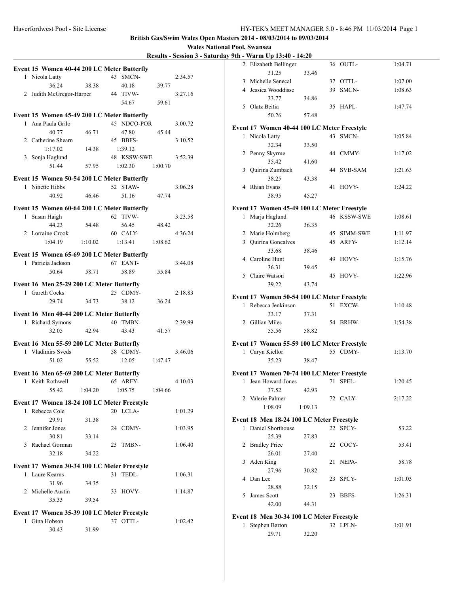**Wales National Pool, Swansea**

| Event 15 Women 40-44 200 LC Meter Butterfly |         |                                       | 2              |
|---------------------------------------------|---------|---------------------------------------|----------------|
| 1 Nicola Latty                              |         | 43 SMCN-<br>2:34.57                   |                |
| 36.24                                       | 38.38   | 40.18<br>39.77                        | 3              |
| 2 Judith McGregor-Harper                    |         | 44 TIVW-<br>3:27.16                   | 4              |
|                                             |         | 54.67<br>59.61                        |                |
|                                             |         |                                       | 5              |
| Event 15 Women 45-49 200 LC Meter Butterfly |         |                                       |                |
| 1 Ana Paula Grilo                           |         | 45 NDCO-POR<br>3:00.72                | Event          |
| 40.77                                       | 46.71   | 47.80<br>45.44                        | 1              |
| 2 Catherine Shearn                          |         | 45 BBFS-<br>3:10.52                   |                |
| 1:17.02                                     | 14.38   | 1:39.12                               | 2              |
| 3 Sonja Haglund                             |         | 48 KSSW-SWE<br>3:52.39                |                |
| 51.44                                       |         | 57.95 1:02.30<br>1:00.70              | 3              |
| Event 15 Women 50-54 200 LC Meter Butterfly |         |                                       |                |
| 1 Ninette Hibbs                             |         | 52 STAW-<br>3:06.28                   | $\overline{4}$ |
| 40.92                                       | 46.46   | 51.16<br>47.74                        |                |
| Event 15 Women 60-64 200 LC Meter Butterfly |         |                                       | Event          |
| 1 Susan Haigh                               |         | 62 TIVW-<br>3:23.58                   | 1              |
| 44.23                                       | 54.48   | 56.45<br>48.42                        |                |
| 2 Lorraine Crook                            |         | 60 CALY-<br>4:36.24                   | 2              |
| 1:04.19                                     |         | $1:10.02$ $1:13.41$ $1:08.62$         | 3              |
|                                             |         |                                       |                |
| Event 15 Women 65-69 200 LC Meter Butterfly |         |                                       | 4              |
| 1 Patricia Jackson<br>50.64                 | 58.71   | 67 EANT-<br>3:44.08<br>58.89<br>55.84 |                |
|                                             |         |                                       | 5              |
| Event 16 Men 25-29 200 LC Meter Butterfly   |         |                                       |                |
| 1 Gareth Cocks                              |         | 25 CDMY-<br>2:18.83                   | Event          |
| 29.74                                       | 34.73   | 38.12<br>36.24                        | 1              |
| Event 16 Men 40-44 200 LC Meter Butterfly   |         |                                       |                |
| 1 Richard Symons                            |         | 40 TMBN-<br>2:39.99                   | 2              |
| 32.05                                       | 42.94   | 43.43<br>41.57                        |                |
|                                             |         |                                       |                |
| Event 16 Men 55-59 200 LC Meter Butterfly   |         |                                       | Event          |
| 1 Vladimirs Sveds<br>51.02                  | 55.52   | 58 CDMY-<br>3:46.06                   | $\mathbf{1}$   |
|                                             |         | 12.05<br>1:47.47                      |                |
| Event 16 Men 65-69 200 LC Meter Butterfly   |         |                                       | Event          |
| 1 Keith Rothwell                            |         | 65 ARFY-<br>4:10.03                   | 1              |
| 55.42                                       | 1:04.20 | 1:05.75<br>1:04.66                    |                |
| Event 17 Women 18-24 100 LC Meter Freestyle |         |                                       | 2              |
| 1 Rebecca Cole                              |         | 20 LCLA-<br>1:01.29                   |                |
| 29.91                                       | 31.38   |                                       | Event          |
| 2 Jennifer Jones                            |         | 24 CDMY-<br>1:03.95                   | 1              |
| 30.81                                       | 33.14   |                                       |                |
| 3 Rachael Gorman                            |         | 23 TMBN-<br>1:06.40                   | 2              |
| 32.18                                       | 34.22   |                                       |                |
| Event 17 Women 30-34 100 LC Meter Freestyle |         |                                       | 3              |
| 1 Laure Kearns                              |         | 31 TEDL-<br>1:06.31                   |                |
| 31.96                                       | 34.35   |                                       | 4              |
| 2 Michelle Austin                           |         | 33 HOVY-<br>1:14.87                   |                |
| 35.33                                       | 39.54   |                                       | 5              |
|                                             |         |                                       |                |
| Event 17 Women 35-39 100 LC Meter Freestyle |         |                                       | Event          |
| 1 Gina Hobson                               |         | 37 OTTL-<br>1:02.42                   | 1              |
| 30.43                                       | 31.99   |                                       |                |

| , , , ,      | танш ор толто                               | <b>11.40</b> |    |             |         |
|--------------|---------------------------------------------|--------------|----|-------------|---------|
|              | 2 Elizabeth Bellinger                       |              |    | 36 OUTL-    | 1:04.71 |
|              | 31.25                                       | 33.46        |    |             |         |
|              | 3 Michelle Senecal                          |              |    | 37 OTTL-    | 1:07.00 |
|              | 4 Jessica Wooddisse                         |              |    | 39 SMCN-    | 1:08.63 |
|              | 33.77                                       | 34.86        |    |             |         |
|              | 5 Olatz Beitia                              |              |    | 35 HAPL-    | 1:47.74 |
|              | 50.26                                       | 57.48        |    |             |         |
|              |                                             |              |    |             |         |
|              | Event 17 Women 40-44 100 LC Meter Freestyle |              |    |             |         |
|              | 1 Nicola Latty                              |              |    | 43 SMCN-    | 1:05.84 |
|              | 32.34                                       | 33.50        |    |             |         |
| 2            | Penny Skyrme                                |              |    | 44 CMMY-    | 1:17.02 |
|              | 35.42                                       | 41.60        |    |             |         |
| 3            | Quirina Zumbach                             |              |    | 44 SVB-SAM  | 1:21.63 |
|              | 38.25                                       | 43.38        |    |             |         |
|              | 4 Rhian Evans                               |              | 41 | HOVY-       | 1:24.22 |
|              | 38.95                                       | 45.27        |    |             |         |
|              |                                             |              |    |             |         |
|              | Event 17 Women 45-49 100 LC Meter Freestyle |              |    |             |         |
| 1            | Marja Haglund                               |              |    | 46 KSSW-SWE | 1:08.61 |
|              | 32.26                                       | 36.35        |    |             |         |
|              | 2 Marie Holmberg                            |              |    | 45 SIMM-SWE | 1:11.97 |
|              | 3 Quirina Goncalves                         |              | 45 | ARFY-       | 1:12.14 |
|              | 33.68                                       | 38.46        |    |             |         |
|              | 4 Caroline Hunt                             |              |    | 49 HOVY-    | 1:15.76 |
|              | 36.31                                       | 39.45        |    |             |         |
|              | 5 Claire Watson                             |              |    | 45 HOVY-    | 1:22.96 |
|              | 39.22                                       | 43.74        |    |             |         |
|              |                                             |              |    |             |         |
|              | Event 17 Women 50-54 100 LC Meter Freestyle |              |    |             |         |
| 1            | Rebecca Jenkinson                           |              |    | 51 EXCW-    | 1:10.48 |
|              | 33.17                                       | 37.31        |    |             |         |
|              | 2 Gillian Miles                             |              |    | 54 BRHW-    | 1:54.38 |
|              | 55.56                                       | 58.82        |    |             |         |
|              | Event 17 Women 55-59 100 LC Meter Freestyle |              |    |             |         |
|              | 1 Caryn Kiellor                             |              |    | 55 CDMY-    | 1:13.70 |
|              | 35.23                                       | 38.47        |    |             |         |
|              |                                             |              |    |             |         |
|              | Event 17 Women 70-74 100 LC Meter Freestyle |              |    |             |         |
| 1            | Jean Howard-Jones                           |              | 71 | SPEL-       | 1:20.45 |
|              | 37.52                                       | 42.93        |    |             |         |
|              | 2 Valerie Palmer                            |              |    | 72 CALY-    | 2:17.22 |
|              | 1:08.09                                     | 1:09.13      |    |             |         |
|              |                                             |              |    |             |         |
|              | Event 18 Men 18-24 100 LC Meter Freestyle   |              |    |             |         |
| $\mathbf{1}$ | Daniel Shorthouse                           |              |    | 22 SPCY-    | 53.22   |
|              | 25.39                                       | 27.83        |    |             |         |
| 2            | <b>Bradley Price</b>                        |              |    | 22 COCY-    | 53.41   |
|              | 26.01                                       | 27.40        |    |             |         |
| 3            | Aden King                                   |              | 21 | NEPA-       | 58.78   |
|              | 27.96                                       | 30.82        |    |             |         |
| 4            | Dan Lee                                     |              | 23 | SPCY-       | 1:01.03 |
|              | 28.88                                       | 32.15        |    |             |         |
| 5            | James Scott                                 |              | 23 | BBFS-       | 1:26.31 |
|              | 42.00                                       | 44.31        |    |             |         |
|              |                                             |              |    |             |         |
|              | Event 18 Men 30-34 100 LC Meter Freestyle   |              |    |             |         |
| $\mathbf{1}$ | Stephen Barton                              |              |    | 32 LPLN-    | 1:01.91 |
|              | 29.71                                       | 32.20        |    |             |         |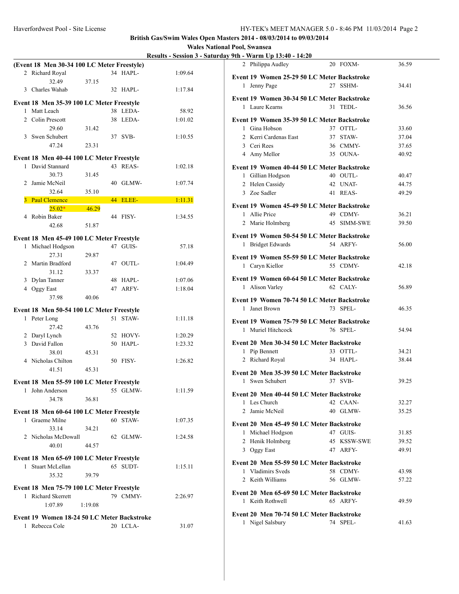| Results - Session 3 - Saturday 9th - Warm Up 13:40 - 14:20 |  |  |  |
|------------------------------------------------------------|--|--|--|
|                                                            |  |  |  |

|   | (Event 18 Men 30-34 100 LC Meter Freestyle) |         |    |                 |         |
|---|---------------------------------------------|---------|----|-----------------|---------|
| 2 | Richard Royal                               |         |    | 34 HAPL-        | 1:09.64 |
|   | 32.49                                       | 37.15   |    |                 |         |
|   | 3 Charles Wahab                             |         |    | 32 HAPL-        | 1:17.84 |
|   |                                             |         |    |                 |         |
|   | Event 18 Men 35-39 100 LC Meter Freestyle   |         |    |                 |         |
|   | 1 Matt Leach                                |         |    | 38 LEDA-        | 58.92   |
|   | 2 Colin Prescott                            |         | 38 | LEDA-           | 1:01.02 |
|   | 29.60                                       | 31.42   |    |                 |         |
| 3 | Swen Schubert                               |         |    | 37 SVB-         | 1:10.55 |
|   | 47.24                                       | 23.31   |    |                 |         |
|   | Event 18 Men 40-44 100 LC Meter Freestyle   |         |    |                 |         |
| 1 | David Stannard                              |         |    | 43 REAS-        | 1:02.18 |
|   | 30.73                                       | 31.45   |    |                 |         |
| 2 | Jamie McNeil                                |         | 40 | GLMW-           | 1:07.74 |
|   | 32.64                                       | 35.10   |    |                 |         |
| 3 | <b>Paul Clemence</b>                        |         |    | <b>44 ELEE-</b> | 1:11.31 |
|   | $25.02*$                                    | 46.29   |    |                 |         |
| 4 | Robin Baker                                 |         |    | 44 FISY-        | 1:34.55 |
|   | 42.68                                       | 51.87   |    |                 |         |
|   |                                             |         |    |                 |         |
|   | Event 18 Men 45-49 100 LC Meter Freestyle   |         |    |                 |         |
| 1 | Michael Hodgson                             |         |    | 47 GUIS-        | 57.18   |
|   | 27.31                                       | 29.87   |    |                 |         |
|   | 2 Martin Bradford                           |         | 47 | OUTL-           | 1:04.49 |
|   | 31.12                                       | 33.37   |    |                 |         |
|   | 3 Dylan Tanner                              |         | 48 | HAPL-           | 1:07.06 |
|   | 4 Oggy East                                 |         | 47 | ARFY-           | 1:18.04 |
|   | 37.98                                       | 40.06   |    |                 |         |
|   | Event 18 Men 50-54 100 LC Meter Freestyle   |         |    |                 |         |
| 1 | Peter Long                                  |         | 51 | STAW-           | 1:11.18 |
|   | 27.42                                       | 43.76   |    |                 |         |
|   | 2 Daryl Lynch                               |         |    | 52 HOVY-        | 1:20.29 |
| 3 | David Fallon                                |         | 50 | HAPL-           | 1:23.32 |
|   | 38.01                                       | 45.31   |    |                 |         |
|   | 4 Nicholas Chilton                          |         |    | 50 FISY-        | 1:26.82 |
|   | 41.51                                       | 45.31   |    |                 |         |
|   |                                             |         |    |                 |         |
|   | Event 18 Men 55-59 100 LC Meter Freestyle   |         |    |                 |         |
| 1 | John Anderson                               |         | 55 | GLMW-           | 1:11.59 |
|   | 34.78                                       | 36.81   |    |                 |         |
|   | Event 18 Men 60-64 100 LC Meter Freestyle   |         |    |                 |         |
|   | 1 Graeme Milne                              |         |    | 60 STAW-        | 1:07.35 |
|   | 33.14                                       | 34.21   |    |                 |         |
|   | 2 Nicholas McDowall                         |         |    | 62 GLMW-        | 1:24.58 |
|   | 40.01                                       | 44.57   |    |                 |         |
|   |                                             |         |    |                 |         |
|   | Event 18 Men 65-69 100 LC Meter Freestyle   |         |    |                 |         |
|   | 1 Stuart McLellan                           |         |    | 65 SUDT-        | 1:15.11 |
|   | 35.32                                       | 39.79   |    |                 |         |
|   | Event 18 Men 75-79 100 LC Meter Freestyle   |         |    |                 |         |
|   | 1 Richard Skerrett                          |         |    | 79 CMMY-        | 2:26.97 |
|   | 1:07.89                                     | 1:19.08 |    |                 |         |
|   |                                             |         |    |                 |         |
|   | Event 19 Women 18-24 50 LC Meter Backstroke |         |    |                 |         |
|   | 1 Rebecca Cole                              |         |    | 20 LCLA-        | 31.07   |

| 2 Philippa Audley                                             | 20 FOXM-             | 36.59 |
|---------------------------------------------------------------|----------------------|-------|
| Event 19 Women 25-29 50 LC Meter Backstroke                   |                      |       |
| 1 Jenny Page                                                  | 27 SSHM-             | 34.41 |
|                                                               |                      |       |
| Event 19 Women 30-34 50 LC Meter Backstroke                   |                      |       |
| 1 Laure Kearns                                                | 31 TEDL-             | 36.56 |
| Event 19 Women 35-39 50 LC Meter Backstroke                   |                      |       |
| 1 Gina Hobson                                                 | 37 OTTL-             | 33.60 |
| 2 Kerri Cardenas East                                         | 37 STAW-             | 37.04 |
| 3 Ceri Rees                                                   | 36 CMMY-             |       |
|                                                               |                      | 37.65 |
| 4 Amy Mellor                                                  | 35 OUNA-             | 40.92 |
| Event 19 Women 40-44 50 LC Meter Backstroke                   |                      |       |
| 1 Gillian Hodgson                                             | 40 OUTL-             | 40.47 |
| 2 Helen Cassidy                                               | 42 UNAT-             | 44.75 |
| 3 Zoe Sadler                                                  | 41 REAS-             | 49.29 |
|                                                               |                      |       |
| Event 19 Women 45-49 50 LC Meter Backstroke                   |                      |       |
| 1 Allie Price                                                 | 49 CDMY-             | 36.21 |
| 2 Marie Holmberg                                              | 45 SIMM-SWE          | 39.50 |
| Event 19 Women 50-54 50 LC Meter Backstroke                   |                      |       |
| 1 Bridget Edwards                                             | 54 ARFY-             | 56.00 |
|                                                               |                      |       |
| Event 19 Women 55-59 50 LC Meter Backstroke                   |                      |       |
| 1 Caryn Kiellor                                               | 55 CDMY-             | 42.18 |
| Event 19 Women 60-64 50 LC Meter Backstroke                   |                      |       |
| 1 Alison Varley                                               | 62 CALY-             | 56.89 |
|                                                               |                      |       |
|                                                               |                      |       |
| Event 19 Women 70-74 50 LC Meter Backstroke                   |                      |       |
| 1 Janet Brown                                                 | $73$ SPEL-           | 46.35 |
|                                                               |                      |       |
| Event 19 Women 75-79 50 LC Meter Backstroke                   |                      |       |
| 1 Muriel Hitchcock                                            | 76 SPEL-             | 54.94 |
| Event 20 Men 30-34 50 LC Meter Backstroke                     |                      |       |
|                                                               | 33 OTTL-             | 34.21 |
| 1 Pip Bennett                                                 | 34 HAPL-             | 38.44 |
| 2 Richard Royal                                               |                      |       |
| Event 20 Men 35-39 50 LC Meter Backstroke                     |                      |       |
| Swen Schubert<br>1                                            | 37 SVB-              | 39.25 |
|                                                               |                      |       |
| Event 20 Men 40-44 50 LC Meter Backstroke<br>1 Les Church     |                      |       |
| 2 Jamie McNeil                                                | 42 CAAN-<br>40 GLMW- | 32.27 |
|                                                               |                      | 35.25 |
| Event 20 Men 45-49 50 LC Meter Backstroke                     |                      |       |
| 1 Michael Hodgson                                             | 47 GUIS-             | 31.85 |
| 2 Henik Holmberg                                              | 45 KSSW-SWE          | 39.52 |
| 3 Oggy East                                                   | 47 ARFY-             | 49.91 |
|                                                               |                      |       |
| Event 20 Men 55-59 50 LC Meter Backstroke                     |                      |       |
| 1 Vladimirs Sveds                                             | 58 CDMY-             | 43.98 |
| 2 Keith Williams                                              | 56 GLMW-             | 57.22 |
| Event 20 Men 65-69 50 LC Meter Backstroke                     |                      |       |
| 1 Keith Rothwell                                              | 65 ARFY-             | 49.59 |
|                                                               |                      |       |
| Event 20 Men 70-74 50 LC Meter Backstroke<br>1 Nigel Salsbury | 74 SPEL-             | 41.63 |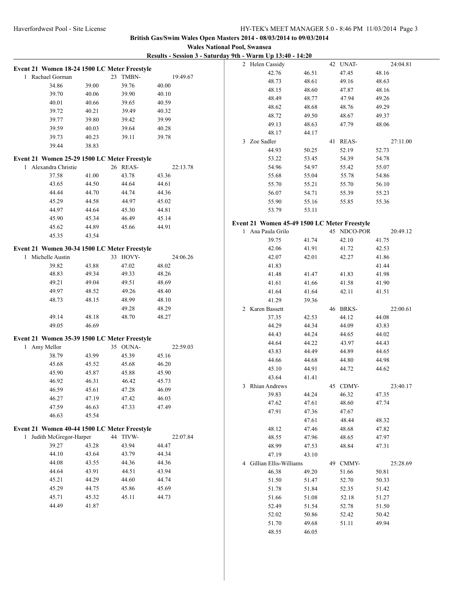|--|

| Event 21 Women 18-24 1500 LC Meter Freestyle |       |          |          | 2 Helen Cassidy                              |       |    | 42 UNAT-    |       | 24:04.81 |
|----------------------------------------------|-------|----------|----------|----------------------------------------------|-------|----|-------------|-------|----------|
| 1 Rachael Gorman                             |       | 23 TMBN- | 19:49.67 | 42.76                                        | 46.51 |    | 47.45       | 48.16 |          |
| 34.86                                        | 39.00 | 39.76    | 40.00    | 48.73                                        | 48.61 |    | 49.16       | 48.63 |          |
| 39.70                                        | 40.06 | 39.90    | 40.10    | 48.15                                        | 48.60 |    | 47.87       | 48.16 |          |
| 40.01                                        | 40.66 | 39.65    | 40.59    | 48.49                                        | 48.77 |    | 47.94       | 49.26 |          |
| 39.72                                        | 40.21 | 39.49    | 40.32    | 48.62                                        | 48.68 |    | 48.76       | 49.29 |          |
| 39.77                                        | 39.80 | 39.42    | 39.99    | 48.72                                        | 49.50 |    | 48.67       | 49.37 |          |
| 39.59                                        | 40.03 | 39.64    | 40.28    | 49.13                                        | 48.63 |    | 47.79       | 48.06 |          |
| 39.73                                        | 40.23 | 39.11    | 39.78    | 48.17                                        | 44.17 |    |             |       |          |
| 39.44                                        | 38.83 |          |          | 3 Zoe Sadler                                 |       |    | 41 REAS-    |       | 27:11.00 |
|                                              |       |          |          | 44.93                                        | 50.25 |    | 52.19       | 52.73 |          |
| Event 21 Women 25-29 1500 LC Meter Freestyle |       |          |          | 53.22                                        | 53.45 |    | 54.39       | 54.78 |          |
| 1 Alexandra Christie                         |       | 26 REAS- | 22:13.78 | 54.96                                        | 54.97 |    | 55.42       | 55.07 |          |
| 37.58                                        | 41.00 | 43.78    | 43.36    | 55.68                                        | 55.04 |    | 55.78       | 54.86 |          |
| 43.65                                        | 44.50 | 44.64    | 44.61    | 55.70                                        | 55.21 |    | 55.70       | 56.10 |          |
| 44.44                                        | 44.70 | 44.74    | 44.36    | 56.07                                        | 54.71 |    | 55.39       | 55.23 |          |
| 45.29                                        | 44.58 | 44.97    | 45.02    | 55.90                                        | 55.16 |    | 55.85       | 55.36 |          |
| 44.97                                        | 44.64 | 45.30    | 44.81    | 53.79                                        | 53.11 |    |             |       |          |
| 45.90                                        | 45.34 | 46.49    | 45.14    |                                              |       |    |             |       |          |
| 45.62                                        | 44.89 | 45.66    | 44.91    | Event 21 Women 45-49 1500 LC Meter Freestyle |       |    |             |       |          |
| 45.35                                        | 43.54 |          |          | 1 Ana Paula Grilo                            |       |    | 45 NDCO-POR |       | 20:49.12 |
|                                              |       |          |          | 39.75                                        | 41.74 |    | 42.10       | 41.75 |          |
| Event 21 Women 30-34 1500 LC Meter Freestyle |       |          |          | 42.06                                        | 41.91 |    | 41.72       | 42.53 |          |
| 1 Michelle Austin                            |       | 33 HOVY- | 24:06.26 | 42.07                                        | 42.01 |    | 42.27       | 41.86 |          |
| 39.82                                        | 43.88 | 47.02    | 48.02    | 41.83                                        |       |    |             | 41.44 |          |
| 48.83                                        | 49.34 | 49.33    | 48.26    | 41.48                                        | 41.47 |    | 41.83       | 41.98 |          |
| 49.21                                        | 49.04 | 49.51    | 48.69    | 41.61                                        | 41.66 |    | 41.58       | 41.90 |          |
| 49.97                                        | 48.52 | 49.26    | 48.40    | 41.64                                        | 41.64 |    | 42.11       | 41.51 |          |
| 48.73                                        | 48.15 | 48.99    | 48.10    | 41.29                                        | 39.36 |    |             |       |          |
|                                              |       | 49.28    | 48.29    | 2 Karen Bassett                              |       |    | 46 BRKS-    |       | 22:00.61 |
| 49.14                                        | 48.18 | 48.70    | 48.27    | 37.35                                        | 42.53 |    | 44.12       | 44.08 |          |
| 49.05                                        | 46.69 |          |          | 44.29                                        | 44.34 |    | 44.09       | 43.83 |          |
| Event 21 Women 35-39 1500 LC Meter Freestyle |       |          |          | 44.43                                        | 44.24 |    | 44.65       | 44.02 |          |
| 1 Amy Mellor                                 |       | 35 OUNA- | 22:59.03 | 44.64                                        | 44.22 |    | 43.97       | 44.43 |          |
| 38.79                                        | 43.99 | 45.39    | 45.16    | 43.83                                        | 44.49 |    | 44.89       | 44.65 |          |
| 45.68                                        | 45.52 | 45.68    | 46.20    | 44.66                                        | 44.68 |    | 44.80       | 44.98 |          |
| 45.90                                        | 45.87 | 45.88    | 45.90    | 45.10                                        | 44.91 |    | 44.72       | 44.62 |          |
| 46.92                                        | 46.31 | 46.42    | 45.73    | 43.64                                        | 41.41 |    |             |       |          |
| 46.59                                        | 45.61 | 47.28    | 46.09    | 3 Rhian Andrews                              |       |    | 45 CDMY-    |       | 23:40.17 |
| 46.27                                        | 47.19 | 47.42    | 46.03    | 39.83                                        | 44.24 |    | 46.32       | 47.35 |          |
| 47.59                                        | 46.63 | 47.33    | 47.49    | 47.62                                        | 47.61 |    | 48.60       | 47.74 |          |
| 46.63                                        | 45.54 |          |          | 47.91                                        | 47.36 |    | 47.67       |       |          |
|                                              |       |          |          |                                              | 47.61 |    | 48.44       | 48.32 |          |
| Event 21 Women 40-44 1500 LC Meter Freestyle |       |          |          | 48.12                                        | 47.46 |    | 48.68       | 47.82 |          |
| 1 Judith McGregor-Harper                     |       | 44 TIVW- | 22:07.84 | 48.55                                        | 47.96 |    | 48.65       | 47.97 |          |
| 39.27                                        | 43.28 | 43.94    | 44.47    | 48.99                                        | 47.53 |    | 48.84       | 47.31 |          |
| 44.10                                        | 43.64 | 43.79    | 44.34    | 47.19                                        | 43.10 |    |             |       |          |
| 44.08                                        | 43.55 | 44.36    | 44.36    | 4 Gillian Ellis-Williams                     |       | 49 | CMMY-       |       | 25:28.69 |
| 44.64                                        | 43.91 | 44.51    | 43.94    | 46.38                                        | 49.20 |    | 51.66       | 50.81 |          |
| 45.21                                        | 44.29 | 44.60    | 44.74    | 51.50                                        | 51.47 |    | 52.70       | 50.33 |          |
| 45.29                                        | 44.75 | 45.86    | 45.69    | 51.78                                        | 51.84 |    | 52.35       | 51.42 |          |
| 45.71                                        | 45.32 | 45.11    | 44.73    | 51.66                                        | 51.08 |    | 52.18       | 51.27 |          |
| 44.49                                        | 41.87 |          |          | 52.49                                        | 51.54 |    | 52.78       | 51.50 |          |
|                                              |       |          |          | 52.02                                        | 50.86 |    | 52.42       | 50.42 |          |
|                                              |       |          |          | 51.70                                        | 49.68 |    | 51.11       | 49.94 |          |
|                                              |       |          |          | 48.55                                        | 46.05 |    |             |       |          |
|                                              |       |          |          |                                              |       |    |             |       |          |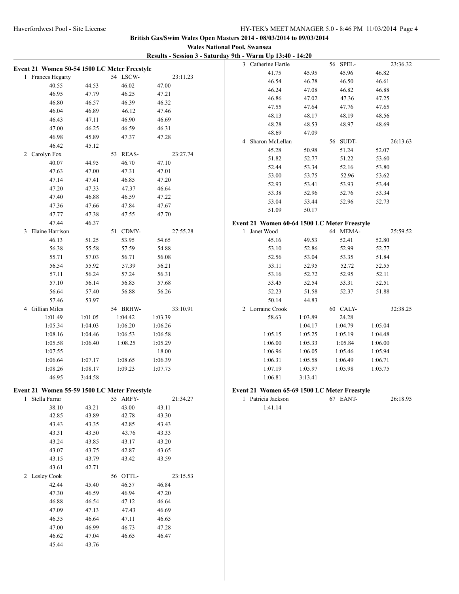**Wales National Pool, Swansea Results - Session 3 - Saturday 9th - Warm Up 13:40 - 14:20**

| Event 21 Women 50-54 1500 LC Meter Freestyle |         |          |          | 3 Catherine Hartle                           |         | 56 SPEL- | 23:36.32 |
|----------------------------------------------|---------|----------|----------|----------------------------------------------|---------|----------|----------|
| 1 Frances Hegarty                            |         | 54 LSCW- | 23:11.23 | 41.75                                        | 45.95   | 45.96    | 46.82    |
| 40.55                                        | 44.53   | 46.02    | 47.00    | 46.54                                        | 46.78   | 46.50    | 46.61    |
| 46.95                                        | 47.79   | 46.25    | 47.21    | 46.24                                        | 47.08   | 46.82    | 46.88    |
| 46.80                                        | 46.57   | 46.39    | 46.32    | 46.86                                        | 47.02   | 47.36    | 47.25    |
| 46.04                                        | 46.89   | 46.12    | 47.46    | 47.55                                        | 47.64   | 47.76    | 47.65    |
| 46.43                                        | 47.11   | 46.90    | 46.69    | 48.13                                        | 48.17   | 48.19    | 48.56    |
| 47.00                                        | 46.25   | 46.59    | 46.31    | 48.28                                        | 48.53   | 48.97    | 48.69    |
| 46.98                                        | 45.89   | 47.37    | 47.28    | 48.69                                        | 47.09   |          |          |
| 46.42                                        | 45.12   |          |          | 4 Sharon McLellan                            |         | 56 SUDT- | 26:13.63 |
|                                              |         |          |          | 45.28                                        | 50.98   | 51.24    | 52.07    |
| 2 Carolyn Fox                                |         | 53 REAS- | 23:27.74 | 51.82                                        | 52.77   | 51.22    | 53.60    |
| 40.07                                        | 44.95   | 46.70    | 47.10    | 52.44                                        | 53.34   | 52.16    | 53.80    |
| 47.63                                        | 47.00   | 47.31    | 47.01    | 53.00                                        | 53.75   | 52.96    | 53.62    |
| 47.14                                        | 47.41   | 46.85    | 47.20    | 52.93                                        | 53.41   | 53.93    | 53.44    |
| 47.20                                        | 47.33   | 47.37    | 46.64    | 53.38                                        | 52.96   | 52.76    | 53.34    |
| 47.40                                        | 46.88   | 46.59    | 47.22    | 53.04                                        | 53.44   | 52.96    | 52.73    |
| 47.36                                        | 47.66   | 47.84    | 47.67    | 51.09                                        | 50.17   |          |          |
| 47.77                                        | 47.38   | 47.55    | 47.70    |                                              |         |          |          |
| 47.44                                        | 46.37   |          |          | Event 21 Women 60-64 1500 LC Meter Freestyle |         |          |          |
| 3 Elaine Harrison                            |         | 51 CDMY- | 27:55.28 | 1 Janet Wood                                 |         | 64 MEMA- | 25:59.52 |
| 46.13                                        | 51.25   | 53.95    | 54.65    | 45.16                                        | 49.53   | 52.41    | 52.80    |
| 56.38                                        | 55.58   | 57.59    | 54.88    | 53.10                                        | 52.86   | 52.99    | 52.77    |
| 55.71                                        | 57.03   | 56.71    | 56.08    | 52.56                                        | 53.04   | 53.35    | 51.84    |
| 56.54                                        | 55.92   | 57.39    | 56.21    | 53.11                                        | 52.95   | 52.72    | 52.55    |
| 57.11                                        | 56.24   | 57.24    | 56.31    | 53.16                                        | 52.72   | 52.95    | 52.11    |
| 57.10                                        | 56.14   | 56.85    | 57.68    | 53.45                                        | 52.54   | 53.31    | 52.51    |
| 56.64                                        | 57.40   | 56.88    | 56.26    | 52.23                                        | 51.58   | 52.37    | 51.88    |
| 57.46                                        | 53.97   |          |          | 50.14                                        | 44.83   |          |          |
| 4 Gillian Miles                              |         | 54 BRHW- | 33:10.91 | 2 Lorraine Crook                             |         | 60 CALY- | 32:38.25 |
| 1:01.49                                      | 1:01.05 | 1:04.42  | 1:03.39  | 58.63                                        | 1:03.89 | 24.28    |          |
| 1:05.34                                      | 1:04.03 | 1:06.20  | 1:06.26  |                                              | 1:04.17 | 1:04.79  | 1:05.04  |
| 1:08.16                                      | 1:04.46 | 1:06.53  | 1:06.58  | 1:05.15                                      | 1:05.25 | 1:05.19  | 1:04.48  |
| 1:05.58                                      | 1:06.40 | 1:08.25  | 1:05.29  | 1:06.00                                      | 1:05.33 | 1:05.84  | 1:06.00  |
| 1:07.55                                      |         |          | 18.00    | 1:06.96                                      | 1:06.05 | 1:05.46  | 1:05.94  |
| 1:06.64                                      | 1:07.17 | 1:08.65  | 1:06.39  | 1:06.31                                      | 1:05.58 | 1:06.49  | 1:06.71  |
| 1:08.26                                      | 1:08.17 | 1:09.23  | 1:07.75  | 1:07.19                                      | 1:05.97 | 1:05.98  | 1:05.75  |
| 46.95                                        | 3:44.58 |          |          | 1:06.81                                      | 3:13.41 |          |          |
| Event 21 Women 55-59 1500 LC Meter Freestyle |         |          |          | Event 21 Women 65-69 1500 LC Meter Freestyle |         |          |          |
| Stella Farrar<br>1                           |         | 55 ARFY- | 21:34.27 | 1 Patricia Jackson                           |         | 67 EANT- | 26:18.95 |
| 38.10                                        | 43.21   | 43.00    | 43.11    | 1:41.14                                      |         |          |          |
| 42.85                                        | 43.89   | 42.78    | 43.30    |                                              |         |          |          |
| 43.43                                        | 43.35   | 42.85    | 43.43    |                                              |         |          |          |
| 43.31                                        | 43.50   | 43.76    | 43.33    |                                              |         |          |          |
| 43.24                                        | 43.85   | 43.17    | 43.20    |                                              |         |          |          |
| 43.07                                        | 43.75   | 42.87    | 43.65    |                                              |         |          |          |
| 43.15                                        | 43.79   | 43.42    | 43.59    |                                              |         |          |          |
| 43.61                                        | 42.71   |          |          |                                              |         |          |          |
| 2 Lesley Cook                                |         | 56 OTTL- | 23:15.53 |                                              |         |          |          |
| 42.44                                        | 45.40   | 46.57    | 46.84    |                                              |         |          |          |
| 47.30                                        | 46.59   | 46.94    | 47.20    |                                              |         |          |          |
| 46.88                                        | 46.54   | 47.12    | 46.64    |                                              |         |          |          |
| 47.09                                        | 47.13   | 47.43    | 46.69    |                                              |         |          |          |
| 46.35                                        | 46.64   | 47.11    | 46.65    |                                              |         |          |          |
| 47.00                                        | 46.99   | 46.73    | 47.28    |                                              |         |          |          |
| 46.62                                        | 47.04   | 46.65    | 46.47    |                                              |         |          |          |
| 45.44                                        | 43.76   |          |          |                                              |         |          |          |
|                                              |         |          |          |                                              |         |          |          |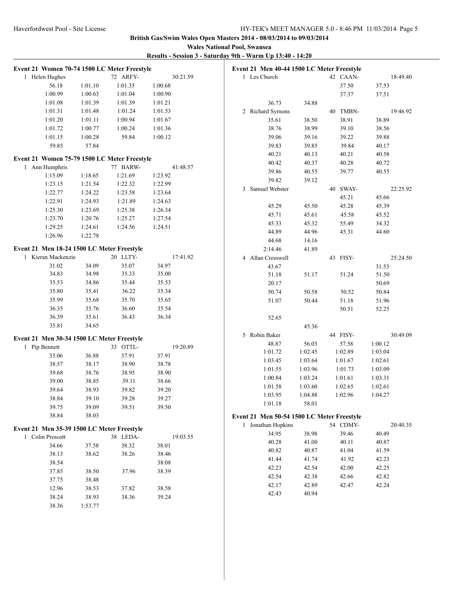**Wales National Pool, Swansea**

| Event 21 Women 70-74 1500 LC Meter Freestyle |         |          |         |          | Event 21 Men 40-44 1500 LC Meter Freestyle |         |          |          |  |
|----------------------------------------------|---------|----------|---------|----------|--------------------------------------------|---------|----------|----------|--|
| 1 Helen Hughes                               |         | 72 ARFY- |         | 30:21.59 | 1 Les Church                               |         | 42 CAAN- | 18:49.40 |  |
| 56.18                                        | 1:01.10 | 1:01.35  | 1:00.68 |          |                                            |         | 37.50    | 37.53    |  |
| 1:00.99                                      | 1:00.63 | 1:01.04  | 1:00.90 |          |                                            |         | 37.37    | 37.51    |  |
| 1:01.08                                      | 1:01.39 | 1:01.39  | 1:01.21 |          | 36.73                                      | 34.88   |          |          |  |
| 1:01.31                                      | 1:01.48 | 1:01.24  | 1:01.53 |          | 2 Richard Symons                           |         | 40 TMBN- | 19:46.92 |  |
| 1:01.20                                      | 1:01.11 | 1:00.94  | 1:01.67 |          | 35.61                                      | 38.50   | 38.91    | 38.89    |  |
| 1:01.72                                      | 1:00.77 | 1:00.24  | 1:01.36 |          | 38.76                                      | 38.99   | 39.10    | 38.56    |  |
| 1:01.15                                      | 1:00.28 | 59.84    | 1:00.12 |          | 39.06                                      | 39.16   | 39.22    | 39.88    |  |
| 59.85                                        | 57.84   |          |         |          | 39.83                                      | 39.85   | 39.84    | 40.17    |  |
|                                              |         |          |         |          | 40.21                                      | 40.13   | 40.21    | 40.58    |  |
| Event 21 Women 75-79 1500 LC Meter Freestyle |         |          |         |          | 40.42                                      | 40.37   | 40.28    | 40.72    |  |
| 1 Ann Humphris                               |         | 77 BARW- |         | 41:48.57 | 39.86                                      | 40.55   | 39.77    | 40.55    |  |
| 1:15.09                                      | 1:18.65 | 1:21.69  | 1:23.92 |          | 39.82                                      | 39.12   |          |          |  |
| 1:23.15                                      | 1:21.54 | 1:22.32  | 1:22.99 |          | 3 Samuel Webster                           |         | 40 SWAY- | 22:25.92 |  |
| 1:22.77                                      | 1:24.22 | 1:23.58  | 1:23.64 |          |                                            |         | 45.21    |          |  |
| 1:22.91                                      | 1:24.93 | 1:21.89  | 1:24.63 |          |                                            |         |          | 45.66    |  |
| 1:25.30                                      | 1:23.69 | 1:25.38  | 1:26.34 |          | 45.29                                      | 45.50   | 45.28    | 45.39    |  |
| 1:23.70                                      | 1:20.76 | 1:25.27  | 1:27.54 |          | 45.71                                      | 45.61   | 45.58    | 45.52    |  |
| 1:29.25                                      | 1:24.61 | 1:24.56  | 1:24.51 |          | 45.33                                      | 45.32   | 55.49    | 34.32    |  |
| 1:26.96                                      | 1:22.78 |          |         |          | 44.89                                      | 44.96   | 45.31    | 44.60    |  |
|                                              |         |          |         |          | 44.68                                      | 14.16   |          |          |  |
| Event 21 Men 18-24 1500 LC Meter Freestyle   |         |          |         |          | 2:14.46                                    | 41.89   |          |          |  |
| 1 Kieran Mackenzie                           |         | 20 LLTY- |         | 17:41.92 | 4 Allan Cresswell                          |         | 43 FISY- | 25:24.50 |  |
| 31.02                                        | 34.09   | 35.07    | 34.97   |          | 43.67                                      |         |          | 31.53    |  |
| 34.83                                        | 34.98   | 35.33    | 35.00   |          | 51.18                                      | 51.17   | 51.24    | 51.50    |  |
| 35.53                                        | 34.86   | 35.44    | 35.53   |          | 20.17                                      |         |          | 50.69    |  |
| 35.80                                        | 35.41   | 36.22    | 35.34   |          | 50.74                                      | 50.58   | 50.52    | 50.84    |  |
| 35.99                                        | 35.68   | 35.70    | 35.65   |          | 51.07                                      | 50.44   | 51.18    | 51.96    |  |
| 36.35                                        | 35.76   | 36.60    | 35.54   |          |                                            |         | 50.51    | 52.25    |  |
| 36.39                                        | 35.61   | 36.43    | 36.34   |          | 52.65                                      |         |          |          |  |
| 35.81                                        | 34.65   |          |         |          |                                            | 45.36   |          |          |  |
| Event 21 Men 30-34 1500 LC Meter Freestyle   |         |          |         |          | 5 Robin Baker                              |         | 44 FISY- | 30:49.09 |  |
| 1 Pip Bennett                                |         | 33 OTTL- |         | 19:20.89 | 48.87                                      | 56.03   | 57.58    | 1:00.12  |  |
| 33.06                                        | 36.88   | 37.91    | 37.91   |          | 1:01.72                                    | 1:02.45 | 1:02.89  | 1:03.04  |  |
| 38.57                                        | 38.17   | 38.90    | 38.78   |          | 1:03.45                                    | 1:03.64 | 1:01.67  | 1:02.61  |  |
|                                              |         |          |         |          | 1:01.55                                    | 1:03.96 | 1:01.73  | 1:03.09  |  |
| 39.68                                        | 38.76   | 38.95    | 38.90   |          | 1:00.84                                    | 1:03.24 | 1:01.61  | 1:03.31  |  |
| 39.00                                        | 38.85   | 39.11    | 38.66   |          | 1:01.58                                    | 1:03.60 | 1:02.65  | 1:02.61  |  |
| 39.64                                        | 38.93   | 39.82    | 39.20   |          | 1:03.95                                    | 1:04.88 | 1:02.96  | 1:04.27  |  |
| 38.84                                        | 39.10   | 39.28    | 39.27   |          | 1:01.18                                    | 58.01   |          |          |  |
| 39.75                                        | 39.09   | 39.51    | 39.50   |          |                                            |         |          |          |  |
| 38.84                                        | 38.03   |          |         |          | Event 21 Men 50-54 1500 LC Meter Freestyle |         |          |          |  |
| Event 21 Men 35-39 1500 LC Meter Freestyle   |         |          |         |          | 1 Jonathan Hopkins                         |         | 54 CDMY- | 20:40.35 |  |
| 1 Colin Prescott                             |         | 38 LEDA- |         | 19:03.55 | 34.95                                      | 38.98   | 39.46    | 40.49    |  |
| 34.66                                        | 37.58   | 38.32    | 38.01   |          | 40.28                                      | 41.00   | 40.11    | 40.87    |  |
| 38.13                                        | 38.62   | 38.26    | 38.46   |          | 40.82                                      | 40.87   | 41.04    | 41.59    |  |
| 38.54                                        |         |          | 38.08   |          | 41.44                                      | 41.74   | 41.92    | 42.23    |  |
| 37.85                                        | 38.50   | 37.96    | 38.39   |          | 42.23                                      | 42.54   | 42.00    | 42.25    |  |
| 37.75                                        | 38.48   |          |         |          | 42.54                                      | 42.38   | 42.66    | 42.82    |  |
| 12.96                                        | 38.53   | 37.82    | 38.58   |          | 42.17                                      | 42.89   | 42.47    | 42.24    |  |
|                                              |         |          | 39.24   |          | 42.43                                      | 40.94   |          |          |  |
| 38.24                                        | 38.93   | 38.36    |         |          |                                            |         |          |          |  |
| 38.36                                        | 1:53.77 |          |         |          |                                            |         |          |          |  |
|                                              |         |          |         |          |                                            |         |          |          |  |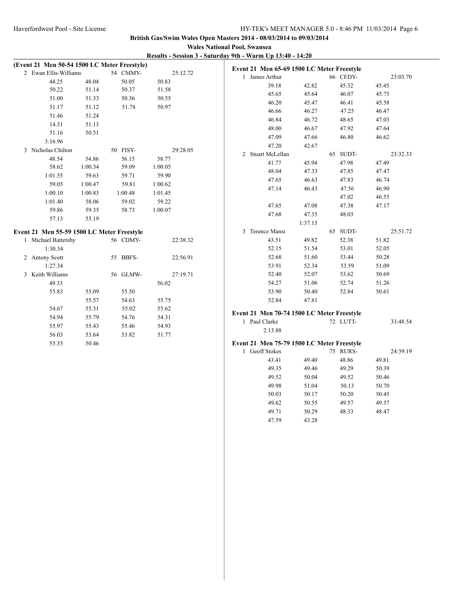**Wales National Pool, Swansea**

| (Event 21 Men 50-54 1500 LC Meter Freestyle) |         |          |          |                                                             |         |           |          |
|----------------------------------------------|---------|----------|----------|-------------------------------------------------------------|---------|-----------|----------|
| 2 Ewan Ellis-Williams                        |         | 54 CMMY- | 25:12.72 | Event 21 Men 65-69 1500 LC Meter Freestyle                  |         |           |          |
| 44.25                                        | 48.04   | 50.05    | 50.83    | 1 James Arthur                                              |         | 66 CEDY-  | 23:03.70 |
| 50.22                                        | 51.14   | 50.37    | 51.58    | 39.18                                                       | 42.82   | 45.32     | 45.45    |
| 51.00                                        | 51.33   | 50.36    | 50.55    | 45.65                                                       | 45.64   | 46.07     | 45.75    |
| 51.17                                        | 51.12   | 51.78    | 50.97    | 46.20                                                       | 45.47   | 46.41     | 45.58    |
| 51.46                                        | 51.24   |          |          | 46.66                                                       | 46.27   | 47.25     | 46.47    |
| 14.31                                        | 51.13   |          |          | 46.84                                                       | 46.72   | 48.65     | 47.03    |
| 51.16                                        | 50.51   |          |          | 48.00                                                       | 46.67   | 47.92     | 47.64    |
| 3:16.96                                      |         |          |          | 47.09                                                       | 47.66   | 46.80     | 46.62    |
| 3 Nicholas Chilton                           |         | 50 FISY- | 29:28.05 | 47.20                                                       | 42.67   |           |          |
| 48.54                                        | 54.86   | 56.15    | 58.77    | 2 Stuart McLellan                                           |         | 65 SUDT-  | 23:32.33 |
| 58.62                                        | 1:00.34 | 59.09    | 1:00.05  | 41.77                                                       | 45.94   | 47.98     | 47.49    |
| 1:01.55                                      | 59.63   | 59.71    | 59.90    | 48.04                                                       | 47.33   | 47.85     | 47.47    |
| 59.05                                        | 1:00.47 | 59.81    | 1:00.62  | 47.65                                                       | 46.63   | 47.83     | 46.74    |
| 1:00.10                                      | 1:00.83 | 1:00.48  | 1:01.45  | 47.14                                                       | 46.43   | 47.56     | 46.90    |
| 1:01.40                                      | 58.06   | 59.02    | 59.22    |                                                             |         | 47.02     | 46.55    |
| 59.86                                        | 59.35   | 58.73    | 1:00.07  | 47.65                                                       | 47.08   | 47.38     | 47.17    |
| 57.13                                        | 55.19   |          |          | 47.68                                                       | 47.35   | 48.03     |          |
|                                              |         |          |          |                                                             | 1:37.15 |           |          |
| Event 21 Men 55-59 1500 LC Meter Freestyle   |         |          |          | 3 Terence Mansi                                             |         | 65 SUDT-  | 25:51.72 |
| 1 Michael Battersby                          |         | 56 CDMY- | 22:38.32 | 43.51                                                       | 49.82   | 52.38     | 51.82    |
| 1:30.34                                      |         |          |          | 52.15                                                       | 51.54   | 53.01     | 52.05    |
| 2 Antony Scott                               |         | 55 BBFS- | 22:56.91 | 52.68                                                       | 51.60   | 53.44     | 50.28    |
| 1:27.34                                      |         |          |          | 53.91                                                       | 52.34   | 53.59     | 51.09    |
| 3 Keith Williams                             |         | 56 GLMW- | 27:19.71 | 52.40                                                       | 52.07   | 53.62     | 50.69    |
| 49.33                                        |         |          | 56.02    | 54.27                                                       | 51.06   | 52.74     | 51.26    |
| 55.83                                        | 55.09   | 55.50    |          | 53.90                                                       | 50.40   | 52.84     | 50.61    |
|                                              | 55.57   | 54.63    | 55.75    | 52.84                                                       | 47.81   |           |          |
| 54.67                                        | 55.31   | 55.02    | 55.62    |                                                             |         |           |          |
| 54.94                                        | 55.79   | 54.76    | 54.31    | Event 21 Men 70-74 1500 LC Meter Freestyle<br>1 Paul Clarke |         | 72 LUTT-  | 33:48.54 |
| 55.97                                        | 55.43   | 55.46    | 54.93    | 2:13.88                                                     |         |           |          |
| 56.03                                        | 53.64   | 53.82    | 51.77    |                                                             |         |           |          |
| 55.35                                        | 50.46   |          |          | Event 21 Men 75-79 1500 LC Meter Freestyle                  |         |           |          |
|                                              |         |          |          | 1 Geoff Stokes                                              |         | 75 RURS-  | 24:39.19 |
|                                              |         |          |          | 43.41                                                       | 49.40   | 48.86     | 49.81    |
|                                              |         |          |          | 49.35                                                       | 49.46   | 49.29     | 50.39    |
|                                              |         |          |          | 49.52                                                       | 50.04   | 49.52     | 50.46    |
|                                              |         |          |          | 49.98                                                       | 51.04   | 50.13     | 50.70    |
|                                              |         |          |          | 50.03                                                       | 50.17   | $50.20\,$ | 50.45    |
|                                              |         |          |          | 49.62                                                       | 50.55   | 49.57     | 49.57    |
|                                              |         |          |          | 49.71                                                       | 50.29   | 48.33     | 48.47    |
|                                              |         |          |          | 47.59                                                       | 43.28   |           |          |
|                                              |         |          |          |                                                             |         |           |          |
|                                              |         |          |          |                                                             |         |           |          |
|                                              |         |          |          |                                                             |         |           |          |
|                                              |         |          |          |                                                             |         |           |          |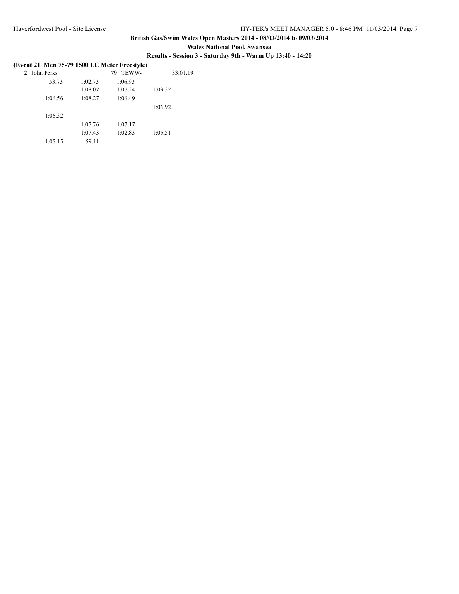# **Wales National Pool, Swansea**

|              |         |         | (Event 21 Men 75-79 1500 LC Meter Freestyle) |          |
|--------------|---------|---------|----------------------------------------------|----------|
| 2 John Perks |         |         | TEWW-<br>79                                  | 33:01.19 |
|              | 53.73   | 1:02.73 | 1:06.93                                      |          |
|              |         | 1:08.07 | 1:07.24                                      | 1:09.32  |
|              | 1:06.56 | 1:08.27 | 1:06.49                                      |          |
|              |         |         |                                              | 1:06.92  |
|              | 1:06.32 |         |                                              |          |
|              |         | 1:07.76 | 1:07.17                                      |          |
|              |         | 1:07.43 | 1:02.83                                      | 1:05.51  |
|              | 1:05.15 | 59.11   |                                              |          |
|              |         |         |                                              |          |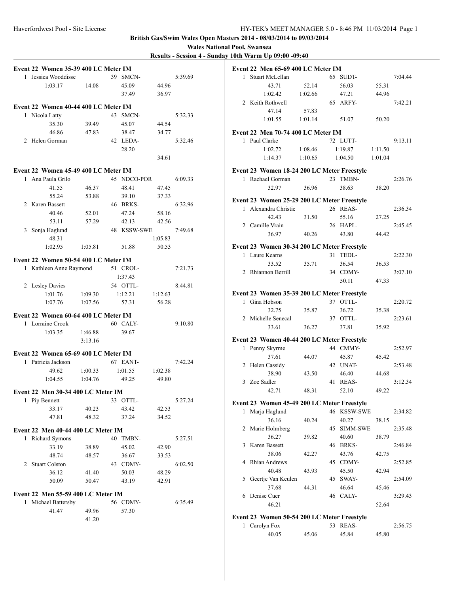**Wales National Pool, Swansea**

**Results - Session 4 - Sunday 10th Warm Up 09:00 -09:40**

| Event 22 Women 35-39 400 LC Meter IM |         |             |         |         | Event 22 Men 65-69 400 LC Meter IM          |         |             |         |         |
|--------------------------------------|---------|-------------|---------|---------|---------------------------------------------|---------|-------------|---------|---------|
| 1 Jessica Wooddisse                  |         | 39 SMCN-    |         | 5:39.69 | 1 Stuart McLellan                           |         | 65 SUDT-    |         | 7:04.44 |
| 1:03.17                              | 14.08   | 45.09       | 44.96   |         | 43.71                                       | 52.14   | 56.03       | 55.31   |         |
|                                      |         | 37.49       | 36.97   |         | 1:02.42                                     | 1:02.66 | 47.21       | 44.96   |         |
|                                      |         |             |         |         | 2 Keith Rothwell                            |         | 65 ARFY-    |         | 7:42.21 |
| Event 22 Women 40-44 400 LC Meter IM |         |             |         |         | 47.14                                       | 57.83   |             |         |         |
| 1 Nicola Latty                       |         | 43 SMCN-    |         | 5:32.33 | 1:01.55                                     | 1:01.14 | 51.07       | 50.20   |         |
| 35.30                                | 39.49   | 45.07       | 44.54   |         |                                             |         |             |         |         |
| 46.86                                | 47.83   | 38.47       | 34.77   |         | Event 22 Men 70-74 400 LC Meter IM          |         |             |         |         |
| 2 Helen Gorman                       |         | 42 LEDA-    |         | 5:32.46 | 1 Paul Clarke                               |         | 72 LUTT-    |         | 9:13.11 |
|                                      |         | 28.20       |         |         | 1:02.72                                     | 1:08.46 | 1:19.87     | 1:11.50 |         |
|                                      |         |             | 34.61   |         | 1:14.37                                     | 1:10.65 | 1:04.50     | 1:01.04 |         |
|                                      |         |             |         |         |                                             |         |             |         |         |
| Event 22 Women 45-49 400 LC Meter IM |         |             |         |         | Event 23 Women 18-24 200 LC Meter Freestyle |         |             |         |         |
| 1 Ana Paula Grilo                    |         | 45 NDCO-POR |         | 6:09.33 | 1 Rachael Gorman                            |         | 23 TMBN-    |         | 2:26.76 |
| 41.55                                | 46.37   | 48.41       | 47.45   |         | 32.97                                       | 36.96   | 38.63       | 38.20   |         |
| 55.24                                | 53.88   | 39.10       | 37.33   |         | Event 23 Women 25-29 200 LC Meter Freestyle |         |             |         |         |
| 2 Karen Bassett                      |         | 46 BRKS-    |         | 6:32.96 | 1 Alexandra Christie                        |         | 26 REAS-    |         | 2:36.34 |
| 40.46                                | 52.01   | 47.24       | 58.16   |         | 42.43                                       | 31.50   | 55.16       | 27.25   |         |
| 53.11                                | 57.29   | 42.13       | 42.56   |         | 2 Camille Vrain                             |         | 26 HAPL-    |         | 2:45.45 |
| 3 Sonja Haglund                      |         | 48 KSSW-SWE |         | 7:49.68 | 36.97                                       | 40.26   | 43.80       | 44.42   |         |
| 48.31                                |         |             | 1:05.83 |         |                                             |         |             |         |         |
| 1:02.95                              | 1:05.81 | 51.88       | 50.53   |         | Event 23 Women 30-34 200 LC Meter Freestyle |         |             |         |         |
|                                      |         |             |         |         | 1 Laure Kearns                              |         | 31 TEDL-    |         | 2:22.30 |
| Event 22 Women 50-54 400 LC Meter IM |         |             |         |         | 33.52                                       | 35.71   | 36.54       | 36.53   |         |
| 1 Kathleen Anne Raymond              |         | 51 CROL-    |         | 7:21.73 | 2 Rhiannon Berrill                          |         | 34 CDMY-    |         | 3:07.10 |
|                                      |         | 1:37.43     |         |         |                                             |         | 50.11       | 47.33   |         |
| 2 Lesley Davies                      |         | 54 OTTL-    |         | 8:44.81 |                                             |         |             |         |         |
| 1:01.76                              | 1:09.30 | 1:12.21     | 1:12.63 |         | Event 23 Women 35-39 200 LC Meter Freestyle |         |             |         |         |
| 1:07.76                              | 1:07.56 | 57.31       | 56.28   |         | 1 Gina Hobson                               |         | 37 OTTL-    |         | 2:20.72 |
|                                      |         |             |         |         | 32.75                                       | 35.87   | 36.72       | 35.38   |         |
| Event 22 Women 60-64 400 LC Meter IM |         |             |         |         | 2 Michelle Senecal                          |         | 37 OTTL-    |         | 2:23.61 |
| 1 Lorraine Crook                     |         | 60 CALY-    |         | 9:10.80 | 33.61                                       | 36.27   | 37.81       | 35.92   |         |
| 1:03.35                              | 1:46.88 | 39.67       |         |         |                                             |         |             |         |         |
|                                      | 3:13.16 |             |         |         | Event 23 Women 40-44 200 LC Meter Freestyle |         |             |         |         |
| Event 22 Women 65-69 400 LC Meter IM |         |             |         |         | 1 Penny Skyrme                              |         | 44 CMMY-    |         | 2:52.97 |
| 1 Patricia Jackson                   |         | 67 EANT-    |         | 7:42.24 | 37.61                                       | 44.07   | 45.87       | 45.42   |         |
| 49.62                                | 1:00.33 | 1:01.55     | 1:02.38 |         | 2 Helen Cassidy                             |         | 42 UNAT-    |         | 2:53.48 |
| 1:04.55                              | 1:04.76 | 49.25       | 49.80   |         | 38.90                                       | 43.50   | 46.40       | 44.68   |         |
|                                      |         |             |         |         | 3 Zoe Sadler                                |         | 41 REAS-    |         | 3:12.34 |
| Event 22 Men 30-34 400 LC Meter IM   |         |             |         |         | 42.71                                       | 48.31   | 52.10       | 49.22   |         |
| 1 Pip Bennett                        |         | 33 OTTL-    |         | 5:27.24 | Event 23 Women 45-49 200 LC Meter Freestyle |         |             |         |         |
| 33.17                                | 40.23   | 43.42       | 42.53   |         | 1 Marja Haglund                             |         | 46 KSSW-SWE |         | 2:34.82 |
| 47.81                                | 48.32   | 37.24       | 34.52   |         | 36.16                                       | 40.24   | 40.27       | 38.15   |         |
|                                      |         |             |         |         |                                             |         |             |         |         |
| Event 22 Men 40-44 400 LC Meter IM   |         |             |         |         | 2 Marie Holmberg                            |         | 45 SIMM-SWE |         | 2:35.48 |
| 1 Richard Symons                     |         | 40 TMBN-    |         | 5:27.51 | 36.27                                       | 39.82   | 40.60       | 38.79   |         |
| 33.19                                | 38.89   | 45.02       | 42.90   |         | 3 Karen Bassett                             |         | 46 BRKS-    |         | 2:46.84 |
| 48.74                                | 48.57   | 36.67       | 33.53   |         | 38.06                                       | 42.27   | 43.76       | 42.75   |         |
| 2 Stuart Colston                     |         | 43 CDMY-    |         | 6:02.50 | 4 Rhian Andrews                             |         | 45 CDMY-    |         | 2:52.85 |
| 36.12                                | 41.40   | 50.03       | 48.29   |         | 40.48                                       | 43.93   | 45.50       | 42.94   |         |
| 50.09                                | 50.47   | 43.19       | 42.91   |         | 5 Geertje Van Keulen                        |         | 45 SWAY-    |         | 2:54.09 |
|                                      |         |             |         |         | 37.68                                       | 44.31   | 46.64       | 45.46   |         |
| Event 22 Men 55-59 400 LC Meter IM   |         |             |         |         | 6 Denise Cuer                               |         | 46 CALY-    |         | 3:29.43 |
| 1 Michael Battersby                  |         | 56 CDMY-    |         | 6:35.49 | 46.21                                       |         |             | 52.64   |         |
| 41.47                                | 49.96   | 57.30       |         |         |                                             |         |             |         |         |
|                                      | 41.20   |             |         |         | Event 23 Women 50-54 200 LC Meter Freestyle |         |             |         |         |
|                                      |         |             |         |         | 1 Carolyn Fox                               |         | 53 REAS-    |         | 2:56.75 |
|                                      |         |             |         |         | 40.05                                       | 45.06   | 45.84       | 45.80   |         |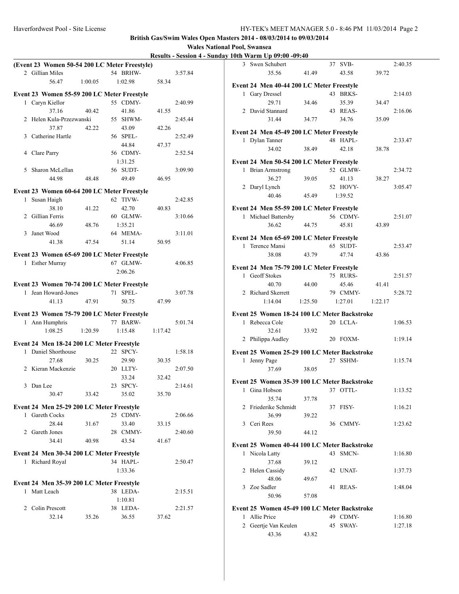**British Gas/Swim Wales Open Masters 2014 - 08/03/2014 to 09/03/2014**

**Wales National Pool, Swansea**

| (Event 23 Women 50-54 200 LC Meter Freestyle) |         |          |         | 3 Swen Schub    |
|-----------------------------------------------|---------|----------|---------|-----------------|
| 2 Gillian Miles                               |         | 54 BRHW- | 3:57.84 | 35.56           |
| 56.47                                         | 1:00.05 | 1:02.98  | 58.34   | Event 24 Men 40 |
| Event 23 Women 55-59 200 LC Meter Freestyle   |         |          |         | 1 Gary Dresse   |
| 1 Caryn Kiellor                               |         | 55 CDMY- | 2:40.99 | 29.71           |
| 37.16                                         | 40.42   | 41.86    | 41.55   | 2 David Stann   |
| 2 Helen Kula-Przezwanski                      |         | 55 SHWM- | 2.4544  | 31.44           |

| 2 Helen Kula-Przezwanski |       | 55 SHWM- |       | 2:45.44 |
|--------------------------|-------|----------|-------|---------|
| 37.87                    | 42.22 | 43.09    | 42.26 |         |
| 3 Catherine Hartle       |       | 56 SPEL- |       | 2:52.49 |
|                          |       | 44.84    | 47.37 |         |
| 4 Clare Parry            |       | 56 CDMY- |       | 2:52.54 |
|                          |       | 1:31.25  |       |         |
| 5 Sharon McLellan        |       | 56 SUDT- |       | 3:09.90 |

### **Event 23 Women 60-64 200 LC Meter Freestyle**

| Susan Haigh      |       | 62 TIVW- |       | 2:42.85 |
|------------------|-------|----------|-------|---------|
| 38.10            | 41.22 | 42.70    | 40.83 |         |
| 2 Gillian Ferris |       | 60 GLMW- |       | 3:10.66 |
| 46.69            | 48.76 | 1:35.21  |       |         |
| Janet Wood       |       | 64 MEMA- |       | 3:11.01 |
| 41.38            | 47.54 | 51.14    | 50.95 |         |

44.98 48.48 49.49 46.95

# **Event 23 Women 65-69 200 LC Meter Freestyle** 1 Esther Murray 67 GLMW- 4:06.85 2:06.26 **Event 23 Women 70-74 200 LC Meter Freestyle** 1 Jean Howard-Jones 71 SPEL- 3:07.78 41.13 47.91 50.75 47.99

# **Event 23 Women 75-79 200 LC Meter Freestyle** 1 Ann Humphris 77 BARW- 5:01.74 1:08.25 1:20.59 1:15.48 1:17.42 **Event 24 Men 18-24 200 LC Meter Freestyle**

|  | 1 Daniel Shorthouse |       | 22 SPCY- |       | 1:58.18 |
|--|---------------------|-------|----------|-------|---------|
|  | 27.68               | 30.25 | 29.90    | 30.35 |         |
|  | 2 Kieran Mackenzie  |       | 20 LLTY- |       | 2:07.50 |
|  |                     |       | 33.24    | 32.42 |         |
|  | 3 Dan Lee           |       | 23 SPCY- |       | 2:14.61 |
|  | 30.47               | 33.42 | 35.02    | 35.70 |         |
|  |                     |       |          |       |         |

|   | Event 24 Men 25-29 200 LC Meter Freestyle |       |            |       |         |
|---|-------------------------------------------|-------|------------|-------|---------|
| 1 | Gareth Cocks                              |       | 25 CDMY-   |       | 2:06.66 |
|   | 28.44                                     | 31.67 | 33.40      | 33.15 |         |
|   | 2 Gareth Jones                            |       | 28 CMMY-   |       | 2:40.60 |
|   | 34.41                                     | 40.98 | 43.54      | 41.67 |         |
|   | Event 24 Men 30-34 200 LC Meter Freestyle |       |            |       |         |
| 1 | Richard Royal                             |       | $34$ HAPL- |       | 2:50.47 |
|   |                                           |       | 1:33.36    |       |         |
|   | Event 24 Men 35-39 200 LC Meter Freestyle |       |            |       |         |
| 1 | Matt Leach                                |       | 38 LEDA-   |       | 2:15.51 |
|   |                                           |       | 1:10.81    |       |         |
|   | 2 Colin Prescott                          |       | 38 LEDA-   |       | 2:21.57 |
|   | 32.14                                     | 35.26 | 36.55      | 37.62 |         |

|         | Results - Session 4 - Sunday 10th Warm Up 09:00 -09:40 |                                              |         |          |         |         |
|---------|--------------------------------------------------------|----------------------------------------------|---------|----------|---------|---------|
| ?)      |                                                        | 3 Swen Schubert                              |         | 37 SVB-  |         | 2:40.35 |
|         | 3:57.84                                                | 35.56                                        | 41.49   | 43.58    | 39.72   |         |
| 58.34   |                                                        |                                              |         |          |         |         |
|         |                                                        | Event 24 Men 40-44 200 LC Meter Freestyle    |         |          |         |         |
|         |                                                        | 1 Gary Dressel                               |         | 43 BRKS- |         | 2:14.03 |
|         | 2:40.99                                                | 29.71                                        | 34.46   | 35.39    | 34.47   |         |
| 41.55   |                                                        | 2 David Stannard                             |         | 43 REAS- |         | 2:16.06 |
|         | 2:45.44                                                | 31.44                                        | 34.77   | 34.76    | 35.09   |         |
| 42.26   |                                                        |                                              |         |          |         |         |
|         | 2:52.49                                                | Event 24 Men 45-49 200 LC Meter Freestyle    |         |          |         |         |
| 47.37   |                                                        | 1 Dylan Tanner                               |         | 48 HAPL- |         | 2:33.47 |
|         | 2:52.54                                                | 34.02                                        | 38.49   | 42.18    | 38.78   |         |
|         |                                                        |                                              |         |          |         |         |
|         |                                                        | Event 24 Men 50-54 200 LC Meter Freestyle    |         |          |         |         |
|         | 3:09.90                                                | 1 Brian Armstrong                            |         | 52 GLMW- |         | 2:34.72 |
| 46.95   |                                                        | 36.27                                        | 39.05   | 41.13    | 38.27   |         |
|         |                                                        | 2 Daryl Lynch                                |         | 52 HOVY- |         | 3:05.47 |
|         | 2:42.85                                                | 40.46                                        | 45.49   | 1:39.52  |         |         |
| 40.83   |                                                        | Event 24 Men 55-59 200 LC Meter Freestyle    |         |          |         |         |
|         | 3:10.66                                                | 1 Michael Battersby                          |         | 56 CDMY- |         | 2:51.07 |
|         |                                                        |                                              |         | 45.81    |         |         |
|         |                                                        | 36.62                                        | 44.75   |          | 43.89   |         |
|         | 3:11.01                                                | Event 24 Men 65-69 200 LC Meter Freestyle    |         |          |         |         |
| 50.95   |                                                        | 1 Terence Mansi                              |         | 65 SUDT- |         | 2:53.47 |
|         |                                                        | 38.08                                        | 43.79   | 47.74    | 43.86   |         |
|         | 4:06.85                                                |                                              |         |          |         |         |
|         |                                                        | Event 24 Men 75-79 200 LC Meter Freestyle    |         |          |         |         |
|         |                                                        | 1 Geoff Stokes                               |         | 75 RURS- |         | 2:51.57 |
|         |                                                        | 40.70                                        | 44.00   | 45.46    | 41.41   |         |
|         | 3:07.78                                                | 2 Richard Skerrett                           |         | 79 CMMY- |         | 5:28.72 |
| 47.99   |                                                        | 1:14.04                                      | 1:25.50 | 1:27.01  | 1:22.17 |         |
|         |                                                        |                                              |         |          |         |         |
|         |                                                        | Event 25 Women 18-24 100 LC Meter Backstroke |         |          |         |         |
|         | 5:01.74                                                | 1 Rebecca Cole                               |         | 20 LCLA- |         | 1:06.53 |
| 1:17.42 |                                                        | 32.61                                        | 33.92   |          |         |         |
|         |                                                        | 2 Philippa Audley                            |         | 20 FOXM- |         | 1:19.14 |
|         | 1:58.18                                                | Event 25 Women 25-29 100 LC Meter Backstroke |         |          |         |         |
| 30.35   |                                                        | 1 Jenny Page                                 |         | 27 SSHM- |         | 1:15.74 |
|         | 2:07.50                                                | 37.69                                        | 38.05   |          |         |         |
| 32.42   |                                                        |                                              |         |          |         |         |
|         | 2:14.61                                                | Event 25 Women 35-39 100 LC Meter Backstroke |         |          |         |         |
|         |                                                        | 1 Gina Hobson                                |         | 37 OTTL- |         | 1:13.52 |
| 35.70   |                                                        | 35.74                                        | 37.78   |          |         |         |
|         |                                                        | 2 Friederike Schmidt                         |         | 37 FISY- |         | 1:16.21 |
|         | 2:06.66                                                | 36.99                                        | 39.22   |          |         |         |
| 33.15   |                                                        | 3 Ceri Rees                                  |         | 36 CMMY- |         | 1:23.62 |
|         | 2:40.60                                                | 39.50                                        | 44.12   |          |         |         |
| 41.67   |                                                        |                                              |         |          |         |         |
|         |                                                        | Event 25 Women 40-44 100 LC Meter Backstroke |         |          |         |         |
|         |                                                        | 1 Nicola Latty                               |         | 43 SMCN- |         | 1:16.80 |
|         | 2:50.47                                                | 37.68                                        | 39.12   |          |         |         |
|         |                                                        | 2 Helen Cassidy                              |         | 42 UNAT- |         | 1:37.73 |
|         |                                                        | 48.06                                        | 49.67   |          |         |         |
|         |                                                        | 3 Zoe Sadler                                 |         | 41 REAS- |         | 1:48.04 |
|         | 2:15.51                                                | 50.96                                        | 57.08   |          |         |         |
|         |                                                        |                                              |         |          |         |         |
|         | 2:21.57                                                | Event 25 Women 45-49 100 LC Meter Backstroke |         |          |         |         |
| 37.62   |                                                        | 1 Allie Price                                |         | 49 CDMY- |         | 1:16.80 |
|         |                                                        | 2 Geertje Van Keulen                         |         | 45 SWAY- |         | 1:27.18 |

43.36 43.82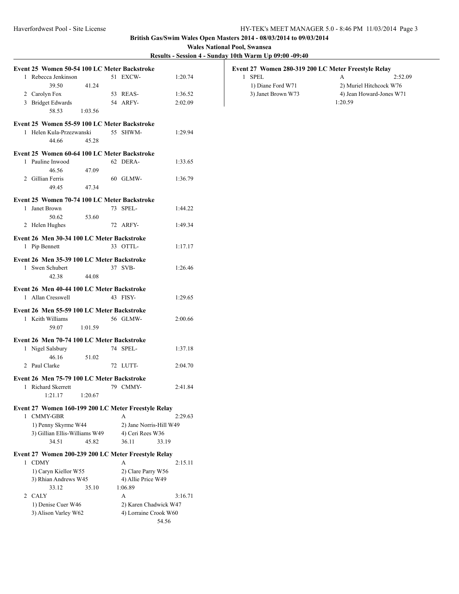#### **Wales National Pool, Swansea**

**Results - Session 4 - Sunday 10th Warm Up 09:00 -09:40**

|                                                                   |                         |         | Results - Session 4 - Sunday 10th Warm Up 09:00 -09:40 |                                         |
|-------------------------------------------------------------------|-------------------------|---------|--------------------------------------------------------|-----------------------------------------|
| Event 25 Women 50-54 100 LC Meter Backstroke                      |                         |         | Event 27 Women 280-319 200 LC Meter Freestyle Relay    |                                         |
| 1 Rebecca Jenkinson<br>39.50<br>41.24                             | 51 EXCW-                | 1:20.74 | 1 SPEL<br>1) Diane Ford W71                            | A<br>2:52.09<br>2) Muriel Hitchcock W76 |
| 2 Carolyn Fox                                                     | 53 REAS-                | 1:36.52 | 3) Janet Brown W73                                     | 4) Jean Howard-Jones W71                |
| 3 Bridget Edwards                                                 | 54 ARFY-                | 2:02.09 |                                                        | 1:20.59                                 |
| 58.53<br>1:03.56                                                  |                         |         |                                                        |                                         |
| Event 25 Women 55-59 100 LC Meter Backstroke                      |                         |         |                                                        |                                         |
| 1 Helen Kula-Przezwanski                                          | 55 SHWM-                | 1:29.94 |                                                        |                                         |
| 44.66<br>45.28                                                    |                         |         |                                                        |                                         |
| Event 25 Women 60-64 100 LC Meter Backstroke                      |                         |         |                                                        |                                         |
| 1 Pauline Inwood                                                  | 62 DERA-                | 1:33.65 |                                                        |                                         |
| 46.56<br>47.09                                                    |                         |         |                                                        |                                         |
| 2 Gillian Ferris                                                  | 60 GLMW-                | 1:36.79 |                                                        |                                         |
| 49.45<br>47.34                                                    |                         |         |                                                        |                                         |
| Event 25 Women 70-74 100 LC Meter Backstroke                      |                         |         |                                                        |                                         |
| 1 Janet Brown                                                     | 73 SPEL-                | 1:44.22 |                                                        |                                         |
| 50.62<br>53.60                                                    |                         |         |                                                        |                                         |
| 2 Helen Hughes                                                    | 72 ARFY-                | 1:49.34 |                                                        |                                         |
| Event 26 Men 30-34 100 LC Meter Backstroke                        |                         |         |                                                        |                                         |
| 1 Pip Bennett                                                     | 33 OTTL-                | 1:17.17 |                                                        |                                         |
| Event 26 Men 35-39 100 LC Meter Backstroke                        |                         |         |                                                        |                                         |
| 1 Swen Schubert                                                   | 37 SVB-                 | 1:26.46 |                                                        |                                         |
| 42.38<br>44.08                                                    |                         |         |                                                        |                                         |
| Event 26 Men 40-44 100 LC Meter Backstroke                        |                         |         |                                                        |                                         |
| 1 Allan Cresswell                                                 | 43 FISY-                | 1:29.65 |                                                        |                                         |
| Event 26 Men 55-59 100 LC Meter Backstroke                        |                         |         |                                                        |                                         |
| 1 Keith Williams                                                  | 56 GLMW-                | 2:00.66 |                                                        |                                         |
| 59.07<br>1:01.59                                                  |                         |         |                                                        |                                         |
| Event 26 Men 70-74 100 LC Meter Backstroke                        |                         |         |                                                        |                                         |
| 1 Nigel Salsbury                                                  | 74 SPEL-                | 1:37.18 |                                                        |                                         |
| 46.16<br>51.02                                                    |                         |         |                                                        |                                         |
| 2 Paul Clarke                                                     | 72 LUTT-                | 2:04.70 |                                                        |                                         |
| Event 26 Men 75-79 100 LC Meter Backstroke                        |                         |         |                                                        |                                         |
| 1 Richard Skerrett                                                | 79 CMMY-                | 2:41.84 |                                                        |                                         |
| 1:21.17<br>1:20.67                                                |                         |         |                                                        |                                         |
|                                                                   |                         |         |                                                        |                                         |
| Event 27 Women 160-199 200 LC Meter Freestyle Relay<br>1 CMMY-GBR | A                       | 2:29.63 |                                                        |                                         |
| 1) Penny Skyrme W44                                               | 2) Jane Norris-Hill W49 |         |                                                        |                                         |
| 3) Gillian Ellis-Williams W49                                     | 4) Ceri Rees W36        |         |                                                        |                                         |
| 34.51<br>45.82                                                    | 36.11                   | 33.19   |                                                        |                                         |
| Event 27 Women 200-239 200 LC Meter Freestyle Relay               |                         |         |                                                        |                                         |
| 1 CDMY                                                            | A                       | 2:15.11 |                                                        |                                         |
| 1) Caryn Kiellor W55                                              | 2) Clare Parry W56      |         |                                                        |                                         |
| 3) Rhian Andrews W45                                              | 4) Allie Price W49      |         |                                                        |                                         |
| 33.12<br>35.10                                                    | 1:06.89                 |         |                                                        |                                         |
| 2 CALY                                                            | A                       | 3:16.71 |                                                        |                                         |
| 1) Denise Cuer W46                                                | 2) Karen Chadwick W47   |         |                                                        |                                         |
| 3) Alison Varley W62                                              | 4) Lorraine Crook W60   | 54.56   |                                                        |                                         |
|                                                                   |                         |         |                                                        |                                         |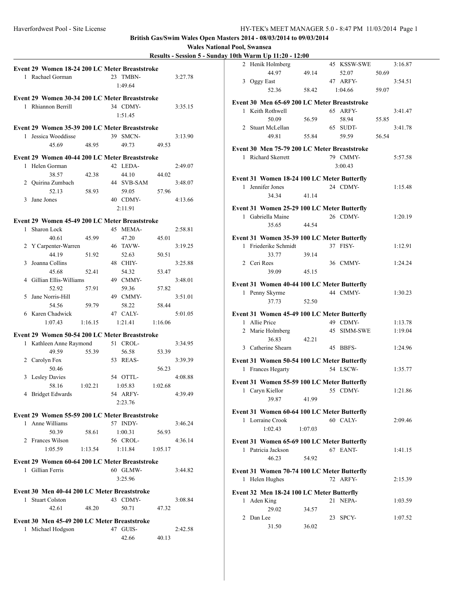| Results - Session 5 - Sunday 10th Warm Up 11:20 - 12:00 |  |  |  |  |
|---------------------------------------------------------|--|--|--|--|
|                                                         |  |  |  |  |

|              |                                                |         |            |         | Results - Session 5 |
|--------------|------------------------------------------------|---------|------------|---------|---------------------|
|              | Event 29 Women 18-24 200 LC Meter Breaststroke |         |            |         |                     |
|              | 1 Rachael Gorman                               |         | 23 TMBN-   |         | 3:27.78             |
|              |                                                |         | 1:49.64    |         |                     |
|              |                                                |         |            |         |                     |
|              | Event 29 Women 30-34 200 LC Meter Breaststroke |         |            |         |                     |
|              | 1 Rhiannon Berrill                             |         | 34 CDMY-   |         | 3:35.15             |
|              |                                                |         | 1:51.45    |         |                     |
|              |                                                |         |            |         |                     |
|              | Event 29 Women 35-39 200 LC Meter Breaststroke |         |            |         |                     |
|              | 1 Jessica Wooddisse                            |         | 39 SMCN-   |         | 3:13.90             |
|              | 45.69                                          | 48.95   | 49.73      | 49.53   |                     |
|              | Event 29 Women 40-44 200 LC Meter Breaststroke |         |            |         |                     |
|              | 1 Helen Gorman                                 |         | 42 LEDA-   |         | 2:49.07             |
|              | 38.57                                          | 42.38   | 44.10      | 44.02   |                     |
| 2            | Quirina Zumbach                                |         | 44 SVB-SAM |         | 3:48.07             |
|              | 52.13                                          | 58.93   | 59.05      | 57.96   |                     |
| 3            | Jane Jones                                     |         | 40 CDMY-   |         | 4:13.66             |
|              |                                                |         |            |         |                     |
|              |                                                |         | 2:11.91    |         |                     |
|              | Event 29 Women 45-49 200 LC Meter Breaststroke |         |            |         |                     |
|              | 1 Sharon Lock                                  |         | 45 MEMA-   |         | 2:58.81             |
|              | 40.61                                          | 45.99   | 47.20      | 45.01   |                     |
|              | 2 Y Carpenter-Warren                           |         | 46 TAVW-   |         | 3:19.25             |
|              | 44.19                                          | 51.92   | 52.63      | 50.51   |                     |
| 3            | Joanna Collins                                 |         | 48 CHIY-   |         | 3:25.88             |
|              | 45.68                                          | 52.41   | 54.32      | 53.47   |                     |
|              | 4 Gillian Ellis-Williams                       |         | 49 CMMY-   |         | 3:48.01             |
|              | 52.92                                          | 57.91   | 59.36      | 57.82   |                     |
| 5            | Jane Norris-Hill                               |         | 49 CMMY-   |         | 3:51.01             |
|              | 54.56                                          |         | 58.22      | 58.44   |                     |
|              |                                                | 59.79   |            |         |                     |
|              | 6 Karen Chadwick                               |         | 47 CALY-   |         | 5:01.05             |
|              | 1:07.43                                        | 1:16.15 | 1:21.41    | 1:16.06 |                     |
|              | Event 29 Women 50-54 200 LC Meter Breaststroke |         |            |         |                     |
| 1            | Kathleen Anne Raymond                          |         | 51 CROL-   |         | 3:34.95             |
|              | 49.59                                          | 55.39   | 56.58      | 53.39   |                     |
|              | 2 Carolyn Fox                                  |         | 53 REAS-   |         | 3:39.39             |
|              | 50.46                                          |         |            | 56.23   |                     |
|              | 3 Lesley Davies                                |         | 54 OTTL-   |         | 4:08.88             |
|              | 58.16                                          | 1:02.21 | 1:05.83    | 1:02.68 |                     |
| 4            | Bridget Edwards                                |         | 54 ARFY-   |         | 4:39.49             |
|              |                                                |         | 2:23.76    |         |                     |
|              |                                                |         |            |         |                     |
|              | Event 29 Women 55-59 200 LC Meter Breaststroke |         |            |         |                     |
|              | 1 Anne Williams                                |         | 57 INDY-   |         | 3:46.24             |
|              | 50.39                                          | 58.61   | 1:00.31    | 56.93   |                     |
|              | 2 Frances Wilson                               |         | 56 CROL-   |         | 4:36.14             |
|              | 1:05.59                                        | 1:13.54 | 1:11.84    | 1:05.17 |                     |
|              | Event 29 Women 60-64 200 LC Meter Breaststroke |         |            |         |                     |
|              | 1 Gillian Ferris                               |         | 60 GLMW-   |         | 3:44.82             |
|              |                                                |         |            |         |                     |
|              |                                                |         | 3:25.96    |         |                     |
|              | Event 30 Men 40-44 200 LC Meter Breaststroke   |         |            |         |                     |
| $\mathbf{1}$ | <b>Stuart Colston</b>                          |         | 43 CDMY-   |         | 3:08.84             |
|              | 42.61                                          | 48.20   | 50.71      | 47.32   |                     |
|              |                                                |         |            |         |                     |
|              | Event 30 Men 45-49 200 LC Meter Breaststroke   |         |            |         |                     |
| 1            | Michael Hodgson                                |         | 47 GUIS-   |         | 2:42.58             |
|              |                                                |         | 42.66      | 40.13   |                     |
|              |                                                |         |            |         |                     |

|              | <u>UTH WALKED 11.20 - 12.00</u>                                 |         |                 |       |         |
|--------------|-----------------------------------------------------------------|---------|-----------------|-------|---------|
|              | 2 Henik Holmberg                                                |         | 45 KSSW-SWE     |       | 3:16.87 |
|              | 44.97                                                           | 49.14   | 52.07           | 50.69 |         |
|              | 3 Oggy East                                                     |         | 47 ARFY-        |       | 3:54.51 |
|              | 52.36                                                           | 58.42   | 1:04.66         | 59.07 |         |
|              | Event 30 Men 65-69 200 LC Meter Breaststroke                    |         |                 |       |         |
|              | 1 Keith Rothwell                                                |         | 65 ARFY-        |       | 3:41.47 |
|              | 50.09                                                           | 56.59   | 58.94           | 55.85 |         |
|              | 2 Stuart McLellan                                               |         | 65 SUDT-        |       | 3:41.78 |
|              | 49.81                                                           | 55.84   | 59.59           | 56.54 |         |
|              | Event 30 Men 75-79 200 LC Meter Breaststroke                    |         |                 |       |         |
|              | 1 Richard Skerrett                                              |         | 79 CMMY-        |       | 5:57.58 |
|              |                                                                 |         | 3:00.43         |       |         |
|              |                                                                 |         |                 |       |         |
|              | Event 31 Women 18-24 100 LC Meter Butterfly                     |         |                 |       |         |
|              | 1 Jennifer Jones                                                |         | 24 CDMY-        |       | 1:15.48 |
|              | 34.34                                                           | 41.14   |                 |       |         |
|              | Event 31 Women 25-29 100 LC Meter Butterfly                     |         |                 |       |         |
|              | 1 Gabriella Maine                                               |         | 26 CDMY-        |       | 1:20.19 |
|              | 35.65                                                           | 44.54   |                 |       |         |
|              | Event 31 Women 35-39 100 LC Meter Butterfly                     |         |                 |       |         |
| $\mathbf{1}$ | Friederike Schmidt                                              |         | 37 FISY-        |       | 1:12.91 |
|              | 33.77                                                           | 39.14   |                 |       |         |
|              | 2 Ceri Rees                                                     |         | 36 CMMY-        |       | 1:24.24 |
|              | 39.09                                                           | 45.15   |                 |       |         |
|              | Event 31 Women 40-44 100 LC Meter Butterfly                     |         |                 |       |         |
|              | 1 Penny Skyrme                                                  |         | 44 CMMY-        |       | 1:30.23 |
|              | 37.73                                                           | 52.50   |                 |       |         |
|              |                                                                 |         |                 |       |         |
|              | Event 31 Women 45-49 100 LC Meter Butterfly                     |         |                 |       |         |
|              | 1 Allie Price                                                   |         | 49 CDMY-        |       | 1:13.78 |
|              | 2 Marie Holmberg                                                |         | 45 SIMM-SWE     |       | 1:19.04 |
|              | 36.83<br>3 Catherine Shearn                                     | 42.21   | 45 BBFS-        |       | 1:24.96 |
|              |                                                                 |         |                 |       |         |
|              | Event 31 Women 50-54 100 LC Meter Butterfly                     |         |                 |       |         |
|              | 1 Frances Hegarty                                               |         | 54 <b>LSCW-</b> |       | 1:35.77 |
|              | Event 31 Women 55-59 100 LC Meter Butterfly                     |         |                 |       |         |
| 1            | Caryn Kiellor                                                   |         | 55 CDMY-        |       | 1:21.86 |
|              | 39.87                                                           | 41.99   |                 |       |         |
|              |                                                                 |         |                 |       |         |
|              | Event 31 Women 60-64 100 LC Meter Butterfly<br>1 Lorraine Crook |         | 60 CALY-        |       | 2:09.46 |
|              | 1:02.43                                                         | 1:07.03 |                 |       |         |
|              |                                                                 |         |                 |       |         |
|              | Event 31 Women 65-69 100 LC Meter Butterfly                     |         |                 |       |         |
| $\mathbf{1}$ | Patricia Jackson                                                |         | 67 EANT-        |       | 1:41.15 |
|              | 46.23                                                           | 54.92   |                 |       |         |
|              | Event 31 Women 70-74 100 LC Meter Butterfly                     |         |                 |       |         |
| 1            | Helen Hughes                                                    |         | 72 ARFY-        |       | 2:15.39 |
|              | Event 32 Men 18-24 100 LC Meter Butterfly                       |         |                 |       |         |
|              | 1 Aden King                                                     |         | 21 NEPA-        |       | 1:03.59 |
|              | 29.02                                                           | 34.57   |                 |       |         |
| $\mathbf{2}$ | Dan Lee                                                         |         | 23 SPCY-        |       | 1:07.52 |
|              | 31.50                                                           | 36.02   |                 |       |         |
|              |                                                                 |         |                 |       |         |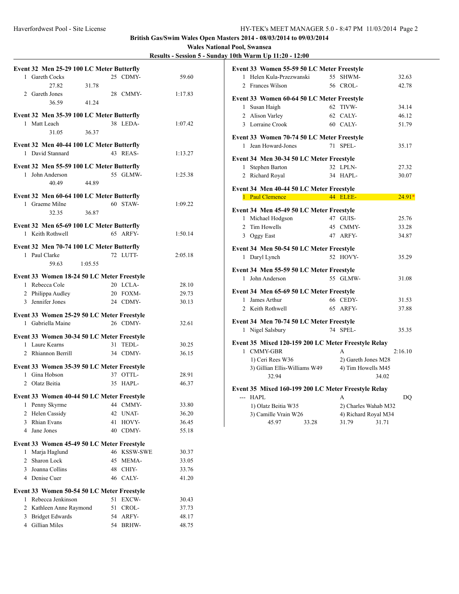| <b>Results - Session 5 - Sunday 10th Warm Up 11:20 - 12:00</b> |
|----------------------------------------------------------------|
|----------------------------------------------------------------|

| Event 32 Men 25-29 100 LC Meter Butterfly                       |             |         |
|-----------------------------------------------------------------|-------------|---------|
| 1 Gareth Cocks                                                  | 25 CDMY-    | 59.60   |
| 27.82<br>31.78                                                  |             |         |
| 2 Gareth Jones                                                  | 28 CMMY-    | 1:17.83 |
| 41.24<br>36.59                                                  |             |         |
|                                                                 |             |         |
| Event 32 Men 35-39 100 LC Meter Butterfly                       |             |         |
| 1 Matt Leach                                                    | 38 LEDA-    | 1:07.42 |
| 36.37<br>31.05                                                  |             |         |
| Event 32 Men 40-44 100 LC Meter Butterfly                       |             |         |
| 1 David Stannard                                                | 43 REAS-    | 1:13.27 |
|                                                                 |             |         |
| Event 32 Men 55-59 100 LC Meter Butterfly                       |             |         |
| 1 John Anderson                                                 | 55 GLMW-    | 1:25.38 |
| 40.49<br>44.89                                                  |             |         |
| Event 32 Men 60-64 100 LC Meter Butterfly                       |             |         |
| 1 Graeme Milne                                                  | 60 STAW-    | 1:09.22 |
| 32.35<br>36.87                                                  |             |         |
|                                                                 |             |         |
| Event 32 Men 65-69 100 LC Meter Butterfly                       |             |         |
| 1 Keith Rothwell                                                | 65 ARFY-    | 1:50.14 |
| Event 32 Men 70-74 100 LC Meter Butterfly                       |             |         |
| 1 Paul Clarke                                                   | 72 LUTT-    | 2:05.18 |
| 59.63<br>1:05.55                                                |             |         |
|                                                                 |             |         |
| Event 33 Women 18-24 50 LC Meter Freestyle                      |             |         |
| 1 Rebecca Cole                                                  | 20 LCLA-    | 28.10   |
| 2 Philippa Audley                                               | 20 FOXM-    | 29.73   |
| 3 Jennifer Jones                                                | 24 CDMY-    | 30.13   |
|                                                                 |             |         |
| Event 33 Women 25-29 50 LC Meter Freestyle<br>1 Gabriella Maine | 26 CDMY-    | 32.61   |
|                                                                 |             |         |
| Event 33 Women 30-34 50 LC Meter Freestyle                      |             |         |
| 1 Laure Kearns                                                  | 31 TEDL-    | 30.25   |
| 2 Rhiannon Berrill                                              | 34 CDMY-    | 36.15   |
|                                                                 |             |         |
| Event 33 Women 35-39 50 LC Meter Freestyle                      | 37 OTTL-    | 28.91   |
| 1 Gina Hobson                                                   |             |         |
| 2 Olatz Beitia                                                  | $35$ HAPL-  | 46.37   |
| Event 33 Women 40-44 50 LC Meter Freestyle                      |             |         |
| 1 Penny Skyrme                                                  | 44 CMMY-    | 33.80   |
| 2 Helen Cassidy                                                 | 42 UNAT-    | 36.20   |
| $\overline{3}$<br>Rhian Evans                                   | 41 HOVY-    | 36.45   |
| 4 Jane Jones                                                    | 40 CDMY-    | 55.18   |
|                                                                 |             |         |
| Event 33 Women 45-49 50 LC Meter Freestyle                      |             |         |
| Marja Haglund<br>1                                              | 46 KSSW-SWE | 30.37   |
| Sharon Lock<br>$\mathbf{2}$                                     | 45 MEMA-    | 33.05   |
| $\mathbf{3}$<br>Joanna Collins                                  | 48 CHIY-    | 33.76   |
| 4 Denise Cuer                                                   | 46 CALY-    | 41.20   |
| Event 33 Women 50-54 50 LC Meter Freestyle                      |             |         |
| 1 Rebecca Jenkinson                                             | 51 EXCW-    | 30.43   |
| $\overline{2}$<br>Kathleen Anne Raymond                         | 51 CROL-    | 37.73   |
| <b>Bridget Edwards</b><br>3                                     | 54 ARFY-    | 48.17   |
| <b>Gillian Miles</b><br>$\overline{4}$                          | 54<br>BRHW- | 48.75   |
|                                                                 |             |         |

| Event 33 Women 55-59 50 LC Meter Freestyle          |                      |          |
|-----------------------------------------------------|----------------------|----------|
| Helen Kula-Przezwanski<br>1                         | 55<br>SHWM-          | 32.63    |
| 2 Frances Wilson                                    | 56 CROL-             | 42.78    |
| Event 33 Women 60-64 50 LC Meter Freestyle          |                      |          |
| Susan Haigh<br>1                                    | 62 TIVW-             | 34.14    |
| 2 Alison Varley                                     | 62 CALY-             | 46.12    |
| 3 Lorraine Crook                                    | 60 CALY-             | 51.79    |
|                                                     |                      |          |
| Event 33 Women 70-74 50 LC Meter Freestyle          |                      |          |
| Jean Howard-Jones<br>$\mathbf{1}$                   | 71 SPEL-             | 35.17    |
| Event 34 Men 30-34 50 LC Meter Freestyle            |                      |          |
| 1 Stephen Barton                                    | 32 LPLN-             | 27.32    |
| 2 Richard Royal                                     | 34 HAPL-             | 30.07    |
| Event 34 Men 40-44 50 LC Meter Freestyle            |                      |          |
| 1 Paul Clemence 44 ELEE-                            |                      | $24.91*$ |
| Event 34 Men 45-49 50 LC Meter Freestyle            |                      |          |
| 1 Michael Hodgson                                   | 47 GUIS-             | 25.76    |
| Tim Howells<br>$\overline{2}$                       | 45 CMMY-             | 33.28    |
|                                                     |                      |          |
| 3 Oggy East                                         | 47 ARFY-             | 34.87    |
| Event 34 Men 50-54 50 LC Meter Freestyle            |                      |          |
| 1 Daryl Lynch                                       | 52 HOVY-             | 35.29    |
| Event 34 Men 55-59 50 LC Meter Freestyle            |                      |          |
| John Anderson<br>$\mathbf{1}$                       | 55 GLMW-             | 31.08    |
|                                                     |                      |          |
| Event 34 Men 65-69 50 LC Meter Freestyle            |                      |          |
| James Arthur<br>$\mathbf{1}$                        | 66 CEDY-             | 31.53    |
| 2 Keith Rothwell                                    | 65<br>ARFY-          | 37.88    |
| Event 34 Men 70-74 50 LC Meter Freestyle            |                      |          |
| Nigel Salsbury<br>1                                 | 74 SPEL-             | 35.35    |
|                                                     |                      |          |
| Event 35 Mixed 120-159 200 LC Meter Freestyle Relay |                      |          |
| 1 CMMY-GBR                                          | A                    | 2:16.10  |
| 1) Ceri Rees W36                                    | 2) Gareth Jones M28  |          |
| 3) Gillian Ellis-Williams W49                       | 4) Tim Howells M45   |          |
| 32.94                                               | 34.02                |          |
| Event 35 Mixed 160-199 200 LC Meter Freestyle Relay |                      |          |
| --- HAPL                                            | A                    | DO       |
| 1) Olatz Beitia W35                                 | 2) Charles Wahab M32 |          |
| 3) Camille Vrain W26                                | 4) Richard Royal M34 |          |
| 45.97<br>33.28                                      | 31.79<br>31.71       |          |
|                                                     |                      |          |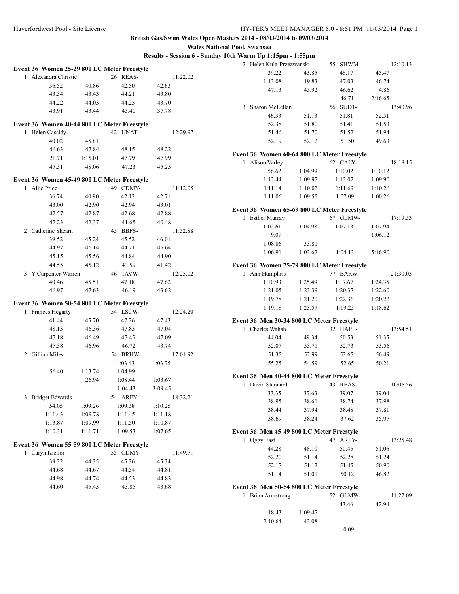| Results - Session 6 - Sunday 10th Warm Up 1:15pm - 1:55pm |  |  |
|-----------------------------------------------------------|--|--|
|                                                           |  |  |

|                                                                     |         |          |          | 2 Helen Kula-Przezwanski                    |         | 55 SHWM- | 12:10.13 |
|---------------------------------------------------------------------|---------|----------|----------|---------------------------------------------|---------|----------|----------|
| Event 36 Women 25-29 800 LC Meter Freestyle<br>1 Alexandra Christie |         | 26 REAS- | 11:22.02 | 39.22                                       | 43.85   | 46.17    | 45.47    |
|                                                                     |         |          |          | 1:13.08                                     | 19.83   | 47.03    | 46.74    |
| 36.52                                                               | 40.86   | 42.50    | 42.63    | 47.13                                       | 45.92   | 46.62    | 4.86     |
| 43.34                                                               | 43.43   | 44.21    | 43.80    |                                             |         | 46.71    | 2:16.65  |
| 44.22                                                               | 44.03   | 44.25    | 43.70    | 3 Sharon McLellan                           |         | 56 SUDT- | 13:40.96 |
| 43.91                                                               | 43.44   | 43.40    | 37.78    | 46.33                                       | 51.13   | 51.81    | 52.51    |
| Event 36 Women 40-44 800 LC Meter Freestyle                         |         |          |          | 52.38                                       | 51.80   | 51.41    | 51.53    |
| 1 Helen Cassidy                                                     |         | 42 UNAT- | 12:29.97 | 51.46                                       | 51.70   | 51.52    | 51.94    |
| 40.02                                                               | 45.81   |          |          | 52.19                                       | 52.12   | 51.50    | 49.63    |
| 46.63                                                               | 47.84   | 48.15    | 48.22    |                                             |         |          |          |
| 21.71                                                               | 1:15.01 | 47.79    | 47.99    | Event 36 Women 60-64 800 LC Meter Freestyle |         |          |          |
|                                                                     |         |          |          | 1 Alison Varley                             |         | 62 CALY- | 18:18.15 |
| 47.51                                                               | 48.06   | 47.23    | 45.25    | 56.62                                       | 1:04.99 | 1:10.02  | 1:10.12  |
| Event 36 Women 45-49 800 LC Meter Freestyle                         |         |          |          | 1:12.44                                     | 1:09.97 | 1:13.02  | 1:09.90  |
| 1 Allie Price                                                       |         | 49 CDMY- | 11:12.05 | 1:11.14                                     | 1:10.02 | 1:11.69  | 1:10.26  |
| 36.74                                                               | 40.90   | 42.12    | 42.71    | 1:11.06                                     | 1:09.55 | 1:07.09  | 1:00.26  |
| 43.00                                                               | 42.90   | 42.94    | 43.01    |                                             |         |          |          |
| 42.57                                                               | 42.87   | 42.68    | 42.88    | Event 36 Women 65-69 800 LC Meter Freestyle |         |          |          |
| 42.23                                                               | 42.37   | 41.65    | 40.48    | 1 Esther Murray                             |         | 67 GLMW- | 17:19.53 |
| 2 Catherine Shearn                                                  |         | 45 BBFS- | 11:52.88 | 1:02.61                                     | 1:04.98 | 1:07.13  | 1:07.94  |
| 39.52                                                               | 45.24   | 45.52    | 46.01    | 9.09                                        |         |          | 1:06.12  |
| 44.97                                                               |         | 44.71    | 45.64    | 1:08.06                                     | 33.81   |          |          |
|                                                                     | 46.14   |          |          | 1:06.91                                     | 1:03.62 | 1:04.13  | 5:16.90  |
| 45.15                                                               | 45.56   | 44.84    | 44.90    |                                             |         |          |          |
| 44.55                                                               | 45.12   | 43.59    | 41.42    | Event 36 Women 75-79 800 LC Meter Freestyle |         |          |          |
| 3 Y Carpenter-Warren                                                |         | 46 TAVW- | 12:25.02 | 1 Ann Humphris                              |         | 77 BARW- | 21:30.03 |
| 40.46                                                               | 45.51   | 47.18    | 47.62    | 1:10.93                                     | 1:25.49 | 1:17.67  | 1:24.35  |
| 46.97                                                               | 47.63   | 46.19    | 43.62    | 1:21.05                                     | 1:23.39 | 1:20.37  | 1:22.60  |
| Event 36 Women 50-54 800 LC Meter Freestyle                         |         |          |          | 1:19.78                                     | 1:21.20 | 1:22.36  | 1:20.22  |
| 1 Frances Hegarty                                                   |         | 54 LSCW- | 12:24.20 | 1:19.18                                     | 1:23.57 | 1:19.25  | 1:18.62  |
| 41.44                                                               | 45.70   | 47.26    | 47.43    |                                             |         |          |          |
| 48.13                                                               |         | 47.83    | 47.04    | Event 36 Men 30-34 800 LC Meter Freestyle   |         |          |          |
|                                                                     | 46.36   |          |          | 1 Charles Wahab                             |         | 32 HAPL- | 13:54.51 |
| 47.18                                                               | 46.49   | 47.45    | 47.09    | 44.04                                       | 49.34   | 50.53    | 51.35    |
| 47.38                                                               | 46.96   | 46.72    | 43.74    | 52.07                                       | 53.71   | 52.73    | 53.56    |
| 2 Gillian Miles                                                     |         | 54 BRHW- | 17:01.92 | 51.35                                       | 52.99   | 53.65    | 56.49    |
|                                                                     |         | 1:03.43  | 1:03.75  | 55.25                                       | 54.59   | 52.65    | 50.21    |
| 56.40                                                               | 1:13.74 | 1:04.99  |          | Event 36 Men 40-44 800 LC Meter Freestyle   |         |          |          |
|                                                                     | 26.94   | 1:08.44  | 1:03.67  | 1 David Stannard                            |         | 43 REAS- | 10:06.56 |
|                                                                     |         | 1:04.43  | 3:09.45  | 33.35                                       | 37.63   | 39.07    | 39.04    |
| 3 Bridget Edwards                                                   |         | 54 ARFY- | 18:32.21 | 38.95                                       | 38.61   | 38.74    | 37.98    |
| 54.05                                                               | 1:09.26 | 1:09.38  | 1:10.25  |                                             |         |          |          |
| 1:11.43                                                             | 1:09.78 | 1:11.45  | 1:11.18  | 38.44                                       | 37.94   | 38.48    | 37.81    |
| 1:13.87                                                             | 1:09.99 | 1:11.50  | 1:10.87  | 38.69                                       | 38.24   | 37.62    | 35.97    |
| 1:10.31                                                             | 1:11.71 | 1:09.53  | 1:07.65  | Event 36 Men 45-49 800 LC Meter Freestyle   |         |          |          |
|                                                                     |         |          |          | 1 Oggy East                                 |         | 47 ARFY- | 13:25.48 |
| Event 36 Women 55-59 800 LC Meter Freestyle                         |         |          |          | 44.28                                       | 48.10   | 50.45    | 51.06    |
| 1 Caryn Kiellor                                                     |         | 55 CDMY- | 11:49.71 | 52.20                                       | 51.14   | 52.28    | 51.24    |
| 39.32                                                               | 44.35   | 45.36    | 45.34    | 52.17                                       | 51.12   | 51.45    | 50.90    |
| 44.68                                                               | 44.67   | 44.54    | 44.81    | 51.14                                       | 51.01   | 50.12    | 46.82    |
| 44.98                                                               | 44.74   | 44.53    | 44.83    |                                             |         |          |          |
| 44.60                                                               | 45.43   | 43.85    | 43.68    | Event 36 Men 50-54 800 LC Meter Freestyle   |         |          |          |
|                                                                     |         |          |          | 1 Brian Armstrong                           |         | 52 GLMW- | 11:22.09 |
|                                                                     |         |          |          |                                             |         | 43.46    | 42.94    |
|                                                                     |         |          |          | 18.43                                       | 1:09.47 |          |          |
|                                                                     |         |          |          | 2:10.64                                     | 43.08   |          |          |
|                                                                     |         |          |          |                                             |         | 0.09     |          |
|                                                                     |         |          |          |                                             |         |          |          |
|                                                                     |         |          |          |                                             |         |          |          |